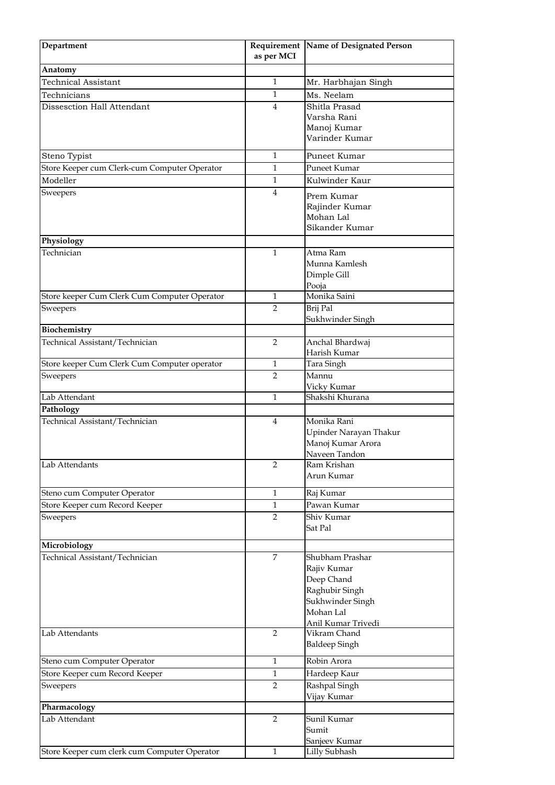| Department                                     | as per MCI     | Requirement Name of Designated Person       |
|------------------------------------------------|----------------|---------------------------------------------|
| Anatomy                                        |                |                                             |
| <b>Technical Assistant</b>                     | 1              | Mr. Harbhajan Singh                         |
| Technicians                                    | $\mathbf{1}$   | Ms. Neelam                                  |
| Dissesction Hall Attendant                     | 4              | Shitla Prasad                               |
|                                                |                | Varsha Rani                                 |
|                                                |                | Manoj Kumar                                 |
|                                                |                | Varinder Kumar                              |
| Steno Typist                                   | $\mathbf{1}$   | Puneet Kumar                                |
| Store Keeper cum Clerk-cum Computer Operator   | 1              | Puneet Kumar                                |
| Modeller                                       | 1              | Kulwinder Kaur                              |
| Sweepers                                       | 4              | Prem Kumar                                  |
|                                                |                | Rajinder Kumar                              |
|                                                |                | Mohan Lal                                   |
|                                                |                | Sikander Kumar                              |
| Physiology                                     |                |                                             |
| Technician                                     | 1              | Atma Ram                                    |
|                                                |                | Munna Kamlesh                               |
|                                                |                | Dimple Gill                                 |
|                                                | $\mathbf{1}$   | Pooja<br>Monika Saini                       |
| Store keeper Cum Clerk Cum Computer Operator   | $\overline{2}$ | Brij Pal                                    |
| Sweepers                                       |                | Sukhwinder Singh                            |
| Biochemistry                                   |                |                                             |
| Technical Assistant/Technician                 | 2              | Anchal Bhardwaj                             |
|                                                |                | Harish Kumar                                |
| Store keeper Cum Clerk Cum Computer operator   | 1              | Tara Singh                                  |
| Sweepers                                       | $\overline{2}$ | Mannu                                       |
|                                                |                | Vicky Kumar                                 |
| Lab Attendant                                  | 1              | Shakshi Khurana                             |
| Pathology                                      |                |                                             |
| Technical Assistant/Technician                 | $\overline{4}$ | Monika Rani                                 |
|                                                |                | Upinder Narayan Thakur<br>Manoj Kumar Arora |
|                                                |                | Naveen Tandon                               |
| Lab Attendants                                 | 2              | Ram Krishan                                 |
|                                                |                | Arun Kumar                                  |
| Steno cum Computer Operator                    | 1              | Raj Kumar                                   |
| Store Keeper cum Record Keeper                 | 1              | Pawan Kumar                                 |
| Sweepers                                       | $\overline{2}$ | Shiv Kumar                                  |
|                                                |                | Sat Pal                                     |
|                                                |                |                                             |
| Microbiology<br>Technical Assistant/Technician | 7              | Shubham Prashar                             |
|                                                |                | Rajiv Kumar                                 |
|                                                |                | Deep Chand                                  |
|                                                |                | Raghubir Singh                              |
|                                                |                | Sukhwinder Singh                            |
|                                                |                | Mohan Lal                                   |
|                                                |                | Anil Kumar Trivedi                          |
| Lab Attendants                                 | $\overline{2}$ | Vikram Chand                                |
|                                                |                | <b>Baldeep Singh</b>                        |
| Steno cum Computer Operator                    | 1              | Robin Arora                                 |
| Store Keeper cum Record Keeper                 | $\mathbf{1}$   | Hardeep Kaur                                |
| Sweepers                                       | $\overline{2}$ | Rashpal Singh                               |
|                                                |                | Vijay Kumar                                 |
| Pharmacology                                   |                |                                             |
| Lab Attendant                                  | 2              | Sunil Kumar                                 |
|                                                |                | Sumit<br>Sanjeev Kumar                      |
| Store Keeper cum clerk cum Computer Operator   | $\mathbf{1}$   | Lilly Subhash                               |
|                                                |                |                                             |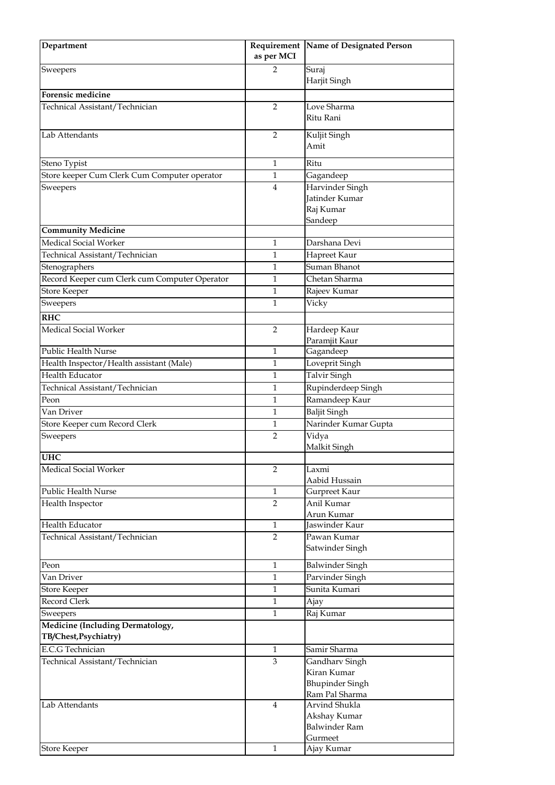| Department                                                | as per MCI     | Requirement Name of Designated Person |
|-----------------------------------------------------------|----------------|---------------------------------------|
| Sweepers                                                  | 2              | Suraj                                 |
|                                                           |                | Harjit Singh                          |
| Forensic medicine                                         |                |                                       |
| Technical Assistant/Technician                            | 2              | Love Sharma                           |
|                                                           |                | Ritu Rani                             |
| Lab Attendants                                            | 2              | Kuljit Singh                          |
|                                                           |                | Amit                                  |
| Steno Typist                                              | 1              | Ritu                                  |
| Store keeper Cum Clerk Cum Computer operator              | 1              | Gagandeep                             |
| Sweepers                                                  | $\overline{4}$ | Harvinder Singh                       |
|                                                           |                | Jatinder Kumar                        |
|                                                           |                | Raj Kumar                             |
|                                                           |                | Sandeep                               |
| <b>Community Medicine</b>                                 |                |                                       |
| Medical Social Worker                                     | 1              | Darshana Devi                         |
| Technical Assistant/Technician                            | 1              | Hapreet Kaur                          |
| Stenographers                                             | 1              | Suman Bhanot                          |
| Record Keeper cum Clerk cum Computer Operator             | 1              | Chetan Sharma                         |
| <b>Store Keeper</b>                                       | $\mathbf{1}$   | Rajeev Kumar                          |
| Sweepers                                                  | 1              | Vicky                                 |
| <b>RHC</b>                                                |                |                                       |
| Medical Social Worker                                     | 2              | Hardeep Kaur                          |
|                                                           |                | Paramjit Kaur                         |
| Public Health Nurse                                       | 1              | Gagandeep                             |
| Health Inspector/Health assistant (Male)                  | 1              | Loveprit Singh                        |
| Health Educator                                           | 1              | Talvir Singh                          |
| Technical Assistant/Technician                            | 1              | Rupinderdeep Singh                    |
| Peon                                                      | 1              | Ramandeep Kaur                        |
| Van Driver                                                | 1              | <b>Baljit Singh</b>                   |
| Store Keeper cum Record Clerk                             | 1              | Narinder Kumar Gupta                  |
| Sweepers                                                  | 2              | Vidya<br>Malkit Singh                 |
| <b>UHC</b>                                                |                |                                       |
| Medical Social Worker                                     | 2              | Laxmi<br>Aabid Hussain                |
| Public Health Nurse                                       | $\mathbf{1}$   | Gurpreet Kaur                         |
| Health Inspector                                          | $\overline{2}$ | Anil Kumar                            |
|                                                           |                | Arun Kumar                            |
| Health Educator                                           | $\mathbf{1}$   | Jaswinder Kaur                        |
| Technical Assistant/Technician                            | 2              | Pawan Kumar<br>Satwinder Singh        |
| Peon                                                      | $\mathbf{1}$   | <b>Balwinder Singh</b>                |
| Van Driver                                                | 1              | Parvinder Singh                       |
| <b>Store Keeper</b>                                       | 1              | Sunita Kumari                         |
| Record Clerk                                              | $\mathbf{1}$   | Ajay                                  |
| Sweepers                                                  | $\mathbf{1}$   | Raj Kumar                             |
| Medicine (Including Dermatology,<br>TB/Chest, Psychiatry) |                |                                       |
| <b>E.C.G Technician</b>                                   | $\mathbf{1}$   | Samir Sharma                          |
| Technical Assistant/Technician                            | 3              | Gandharv Singh                        |
|                                                           |                | Kiran Kumar                           |
|                                                           |                | <b>Bhupinder Singh</b>                |
|                                                           |                | Ram Pal Sharma                        |
| Lab Attendants                                            | $\overline{4}$ | Arvind Shukla                         |
|                                                           |                | Akshay Kumar                          |
|                                                           |                | Balwinder Ram                         |
|                                                           | $\mathbf{1}$   | Gurmeet                               |
| <b>Store Keeper</b>                                       |                | Ajay Kumar                            |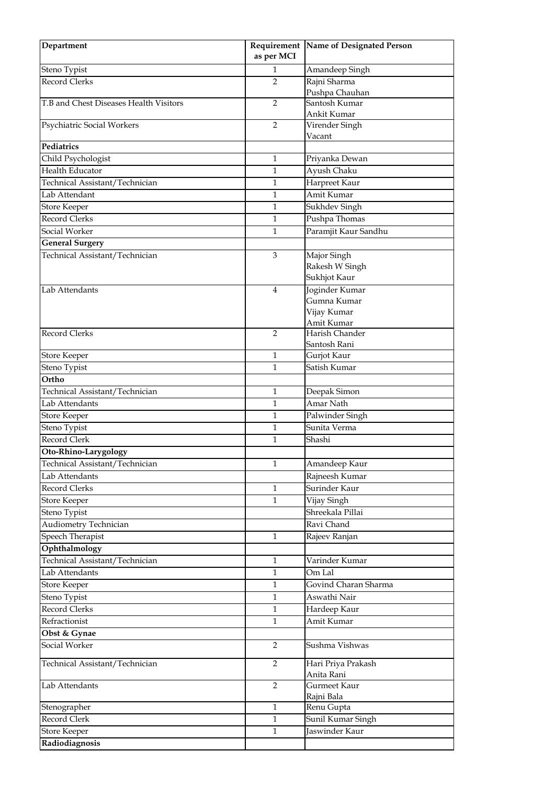| Department                             | as per MCI     | Requirement Name of Designated Person        |
|----------------------------------------|----------------|----------------------------------------------|
| Steno Typist                           | 1              | Amandeep Singh                               |
| <b>Record Clerks</b>                   | 2              | Rajni Sharma<br>Pushpa Chauhan               |
| T.B and Chest Diseases Health Visitors | 2              | Santosh Kumar                                |
| Psychiatric Social Workers             | $\overline{2}$ | Ankit Kumar<br>Virender Singh                |
| Pediatrics                             |                | Vacant                                       |
| Child Psychologist                     | 1              | Priyanka Dewan                               |
| Health Educator                        | 1              | Ayush Chaku                                  |
| Technical Assistant/Technician         | 1              | Harpreet Kaur                                |
| Lab Attendant                          | $\mathbf{1}$   | Amit Kumar                                   |
| <b>Store Keeper</b>                    | 1              | Sukhdev Singh                                |
| <b>Record Clerks</b>                   | 1              | Pushpa Thomas                                |
| Social Worker                          | 1              | Paramjit Kaur Sandhu                         |
| <b>General Surgery</b>                 |                |                                              |
| Technical Assistant/Technician         | $\mathfrak 3$  | Major Singh                                  |
|                                        |                | Rakesh W Singh<br>Sukhjot Kaur               |
| Lab Attendants                         | $\overline{4}$ | Joginder Kumar<br>Gumna Kumar<br>Vijay Kumar |
|                                        |                | Amit Kumar                                   |
| <b>Record Clerks</b>                   | 2              | Harish Chander<br>Santosh Rani               |
| <b>Store Keeper</b>                    | 1              | Gurjot Kaur                                  |
| Steno Typist                           | $\mathbf{1}$   | Satish Kumar                                 |
| Ortho                                  |                |                                              |
| Technical Assistant/Technician         | 1              | Deepak Simon                                 |
| Lab Attendants                         | $\mathbf{1}$   | Amar Nath                                    |
| <b>Store Keeper</b>                    | 1              | Palwinder Singh                              |
| Steno Typist                           | 1              | Sunita Verma                                 |
| Record Clerk                           | 1              | Shashi                                       |
| Oto-Rhino-Larygology                   |                |                                              |
| Technical Assistant/Technician         | $\mathbf{1}$   | Amandeep Kaur                                |
| Lab Attendants                         |                | Rajneesh Kumar                               |
| Record Clerks                          | $\mathbf{1}$   | Surinder Kaur                                |
| <b>Store Keeper</b>                    | 1              | Vijay Singh                                  |
| Steno Typist                           |                | Shreekala Pillai                             |
| Audiometry Technician                  |                | Ravi Chand                                   |
| Speech Therapist                       | $\mathbf{1}$   | Rajeev Ranjan                                |
| Ophthalmology                          |                |                                              |
| Technical Assistant/Technician         | 1              | Varinder Kumar                               |
| Lab Attendants                         | 1              | Om Lal                                       |
| <b>Store Keeper</b>                    | $\mathbf{1}$   | Govind Charan Sharma                         |
| Steno Typist                           | $\mathbf{1}$   | Aswathi Nair                                 |
| Record Clerks                          | $\mathbf{1}$   | Hardeep Kaur                                 |
| Refractionist                          | $\mathbf{1}$   | Amit Kumar                                   |
| Obst & Gynae                           |                |                                              |
| Social Worker                          | 2              | Sushma Vishwas                               |
| Technical Assistant/Technician         | 2              | Hari Priya Prakash<br>Anita Rani             |
| Lab Attendants                         | $\overline{2}$ | Gurmeet Kaur<br>Rajni Bala                   |
| Stenographer                           | 1              | Renu Gupta                                   |
| Record Clerk                           | 1              | Sunil Kumar Singh                            |
| <b>Store Keeper</b>                    | $\mathbf{1}$   | Jaswinder Kaur                               |
| Radiodiagnosis                         |                |                                              |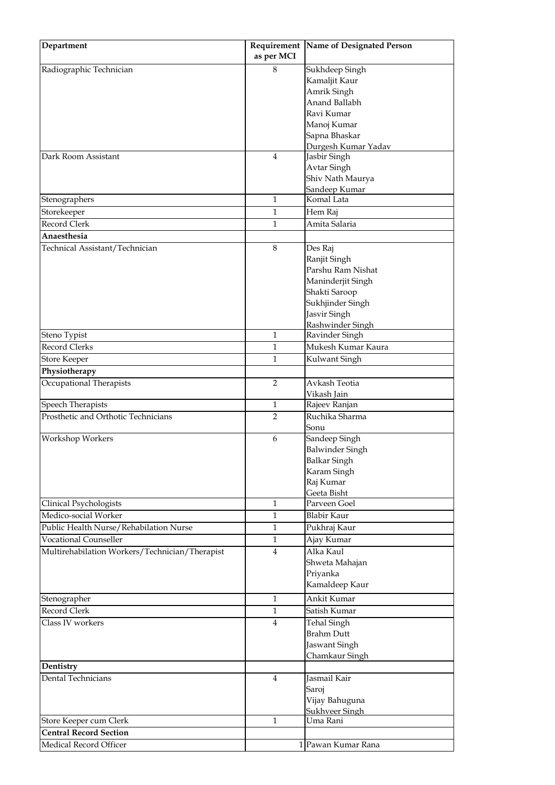| Department                                     | as per MCI     | Requirement Name of Designated Person |
|------------------------------------------------|----------------|---------------------------------------|
| Radiographic Technician                        | 8              | Sukhdeep Singh                        |
|                                                |                | Kamaljit Kaur                         |
|                                                |                | Amrik Singh                           |
|                                                |                | Anand Ballabh                         |
|                                                |                | Ravi Kumar                            |
|                                                |                | Manoj Kumar                           |
|                                                |                | Sapna Bhaskar                         |
|                                                |                | Durgesh Kumar Yadav                   |
| Dark Room Assistant                            | 4              | Jasbir Singh                          |
|                                                |                | Avtar Singh                           |
|                                                |                | Shiv Nath Maurya                      |
|                                                |                | Sandeep Kumar                         |
| Stenographers                                  | 1              | Komal Lata                            |
| Storekeeper                                    | 1              | Hem Raj                               |
| Record Clerk                                   | 1              | Amita Salaria                         |
| Anaesthesia                                    |                |                                       |
| Technical Assistant/Technician                 | 8              | Des Raj                               |
|                                                |                | Ranjit Singh                          |
|                                                |                | Parshu Ram Nishat                     |
|                                                |                | Maninderjit Singh                     |
|                                                |                | Shakti Saroop                         |
|                                                |                | Sukhjinder Singh                      |
|                                                |                | Jasvir Singh                          |
|                                                |                | Rashwinder Singh                      |
| Steno Typist                                   | 1              | Ravinder Singh                        |
| Record Clerks                                  | $\mathbf{1}$   | Mukesh Kumar Kaura                    |
| <b>Store Keeper</b>                            | 1              | Kulwant Singh                         |
| Physiotherapy                                  |                |                                       |
| Occupational Therapists                        | $\overline{2}$ | Avkash Teotia                         |
|                                                |                | Vikash Jain                           |
| Speech Therapists                              | 1              | Rajeev Ranjan                         |
| Prosthetic and Orthotic Technicians            | $\overline{2}$ | Ruchika Sharma                        |
|                                                |                | Sonu                                  |
| Workshop Workers                               | 6              | Sandeep Singh                         |
|                                                |                | Balwinder Singh                       |
|                                                |                | <b>Balkar Singh</b>                   |
|                                                |                | Karam Singh                           |
|                                                |                | Raj Kumar                             |
|                                                |                | Geeta Bisht                           |
| Clinical Psychologists                         | $\mathbf{1}$   | Parveen Goel                          |
| Medico-social Worker                           | $\mathbf{1}$   | Blabir Kaur                           |
| Public Health Nurse/Rehabilation Nurse         | 1              | Pukhraj Kaur                          |
| <b>Vocational Counseller</b>                   | 1              | Ajay Kumar                            |
| Multirehabilation Workers/Technician/Therapist | 4              | Alka Kaul                             |
|                                                |                | Shweta Mahajan                        |
|                                                |                | Priyanka                              |
|                                                |                | Kamaldeep Kaur                        |
| Stenographer                                   | $\mathbf{1}$   | Ankit Kumar                           |
| Record Clerk                                   | 1              | Satish Kumar                          |
| Class IV workers                               | 4              |                                       |
|                                                |                | Tehal Singh<br><b>Brahm Dutt</b>      |
|                                                |                |                                       |
|                                                |                | Jaswant Singh                         |
| Dentistry                                      |                | Chamkaur Singh                        |
| Dental Technicians                             | 4              | Jasmail Kair                          |
|                                                |                | Saroj                                 |
|                                                |                | Vijay Bahuguna                        |
|                                                |                | Sukhveer Singh                        |
| Store Keeper cum Clerk                         | $\mathbf{1}$   | Uma Rani                              |
| <b>Central Record Section</b>                  |                |                                       |
| Medical Record Officer                         |                | 1 Pawan Kumar Rana                    |
|                                                |                |                                       |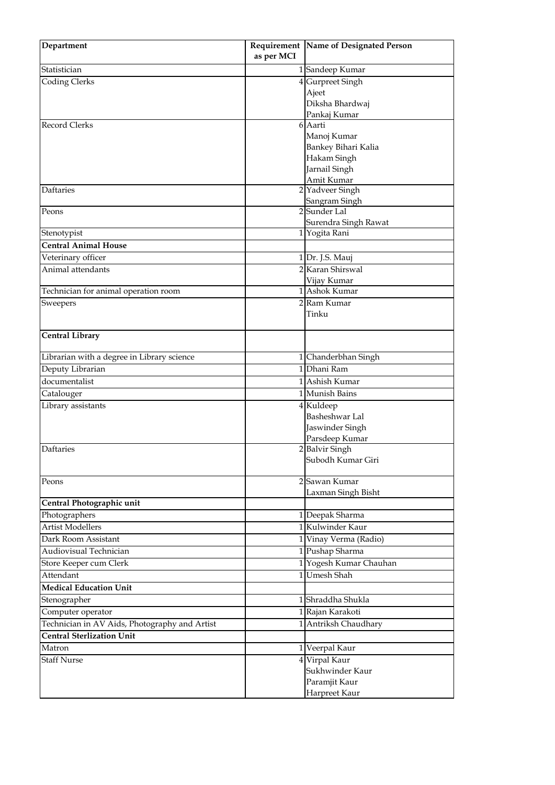| Department                                                     |            | Requirement   Name of Designated Person |
|----------------------------------------------------------------|------------|-----------------------------------------|
|                                                                | as per MCI |                                         |
| Statistician                                                   |            | 1 Sandeep Kumar                         |
| <b>Coding Clerks</b>                                           |            | 4 Gurpreet Singh                        |
|                                                                |            | Ajeet                                   |
|                                                                |            | Diksha Bhardwaj                         |
|                                                                |            | Pankaj Kumar                            |
| Record Clerks                                                  |            | 6 Aarti                                 |
|                                                                |            | Manoj Kumar                             |
|                                                                |            | Bankey Bihari Kalia                     |
|                                                                |            | Hakam Singh                             |
|                                                                |            | Jarnail Singh<br>Amit Kumar             |
| <b>Daftaries</b>                                               |            | 2 Yadveer Singh                         |
|                                                                |            | Sangram Singh                           |
| Peons                                                          |            | 2 Sunder Lal                            |
|                                                                |            | Surendra Singh Rawat                    |
| Stenotypist                                                    |            | 1 Yogita Rani                           |
| <b>Central Animal House</b>                                    |            |                                         |
| Veterinary officer                                             |            | 1 Dr. J.S. Mauj                         |
| Animal attendants                                              |            | 2 Karan Shirswal                        |
|                                                                |            | Vijay Kumar                             |
| Technician for animal operation room                           |            | 1 Ashok Kumar                           |
| Sweepers                                                       |            | 2 Ram Kumar                             |
|                                                                |            | Tinku                                   |
|                                                                |            |                                         |
| <b>Central Library</b>                                         |            |                                         |
|                                                                |            |                                         |
| Librarian with a degree in Library science<br>Deputy Librarian |            | 1 Chanderbhan Singh<br>1 Dhani Ram      |
| documentalist                                                  |            | 1 Ashish Kumar                          |
|                                                                |            | 1 Munish Bains                          |
| Catalouger                                                     |            |                                         |
| Library assistants                                             |            | 4 Kuldeep<br>Basheshwar Lal             |
|                                                                |            | Jaswinder Singh                         |
|                                                                |            | Parsdeep Kumar                          |
| Daftaries                                                      |            | 2 Balvir Singh                          |
|                                                                |            | Subodh Kumar Giri                       |
|                                                                |            |                                         |
| Peons                                                          |            | 2 Sawan Kumar                           |
|                                                                |            | Laxman Singh Bisht                      |
| Central Photographic unit                                      |            |                                         |
| Photographers                                                  |            | 1 Deepak Sharma                         |
| <b>Artist Modellers</b>                                        |            | 1 Kulwinder Kaur                        |
| Dark Room Assistant                                            |            | 1 Vinay Verma (Radio)                   |
| Audiovisual Technician                                         |            | 1 Pushap Sharma                         |
| Store Keeper cum Clerk                                         |            | 1 Yogesh Kumar Chauhan                  |
| Attendant                                                      |            | 1 Umesh Shah                            |
| <b>Medical Education Unit</b>                                  |            |                                         |
| Stenographer                                                   |            | 1 Shraddha Shukla                       |
| Computer operator                                              |            | 1 Rajan Karakoti                        |
| Technician in AV Aids, Photography and Artist                  |            | 1 Antriksh Chaudhary                    |
| <b>Central Sterlization Unit</b>                               |            |                                         |
| Matron                                                         |            | 1 Veerpal Kaur                          |
| <b>Staff Nurse</b>                                             |            | 4 Virpal Kaur                           |
|                                                                |            | Sukhwinder Kaur                         |
|                                                                |            | Paramjit Kaur                           |
|                                                                |            | Harpreet Kaur                           |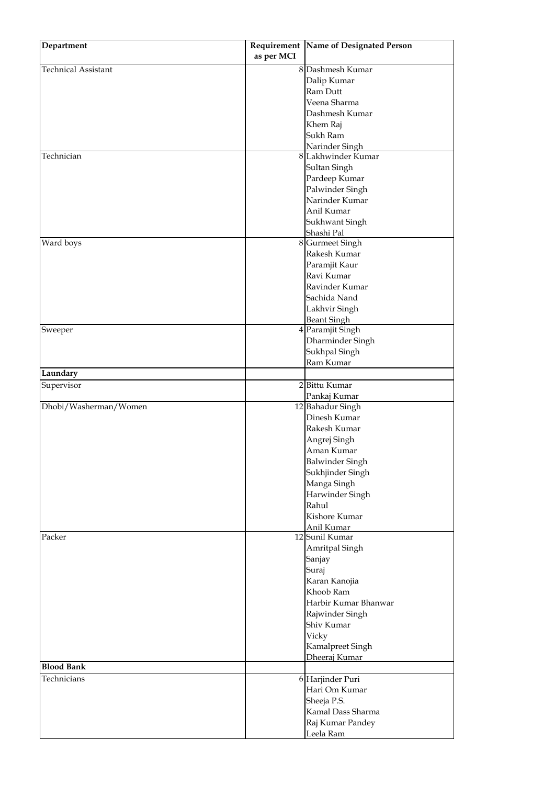| 8 Dashmesh Kumar<br><b>Technical Assistant</b><br>Dalip Kumar<br>Ram Dutt<br>Veena Sharma<br>Dashmesh Kumar<br>Khem Raj<br>Sukh Ram<br>Narinder Singh<br>Technician<br>8 Lakhwinder Kumar<br>Sultan Singh<br>Pardeep Kumar<br>Palwinder Singh<br>Narinder Kumar<br>Anil Kumar<br>Sukhwant Singh<br>Shashi Pal<br>Ward boys<br>8 Gurmeet Singh<br>Rakesh Kumar<br>Paramjit Kaur<br>Ravi Kumar<br>Ravinder Kumar<br>Sachida Nand<br>Lakhvir Singh<br><b>Beant Singh</b><br>4 Paramjit Singh<br>Sweeper<br>Dharminder Singh<br>Sukhpal Singh<br>Ram Kumar<br>Laundary<br>2 Bittu Kumar<br>Supervisor<br>Pankaj Kumar<br>Dhobi/Washerman/Women<br>12 Bahadur Singh<br>Dinesh Kumar<br>Rakesh Kumar<br>Angrej Singh<br>Aman Kumar<br><b>Balwinder Singh</b><br>Sukhjinder Singh<br>Manga Singh<br>Harwinder Singh<br>Rahul<br>Kishore Kumar<br>Anil Kumar<br>12 Sunil Kumar<br>Packer<br>Amritpal Singh<br>Sanjay<br>Suraj<br>Karan Kanojia<br>Khoob Ram<br>Harbir Kumar Bhanwar<br>Rajwinder Singh<br>Shiv Kumar<br>Vicky<br>Kamalpreet Singh<br>Dheeraj Kumar<br><b>Blood Bank</b><br>6 Harjinder Puri<br>Technicians<br>Hari Om Kumar<br>Sheeja P.S.<br>Kamal Dass Sharma<br>Raj Kumar Pandey<br>Leela Ram | Department |            | Requirement Name of Designated Person |
|----------------------------------------------------------------------------------------------------------------------------------------------------------------------------------------------------------------------------------------------------------------------------------------------------------------------------------------------------------------------------------------------------------------------------------------------------------------------------------------------------------------------------------------------------------------------------------------------------------------------------------------------------------------------------------------------------------------------------------------------------------------------------------------------------------------------------------------------------------------------------------------------------------------------------------------------------------------------------------------------------------------------------------------------------------------------------------------------------------------------------------------------------------------------------------------------------------|------------|------------|---------------------------------------|
|                                                                                                                                                                                                                                                                                                                                                                                                                                                                                                                                                                                                                                                                                                                                                                                                                                                                                                                                                                                                                                                                                                                                                                                                          |            | as per MCI |                                       |
|                                                                                                                                                                                                                                                                                                                                                                                                                                                                                                                                                                                                                                                                                                                                                                                                                                                                                                                                                                                                                                                                                                                                                                                                          |            |            |                                       |
|                                                                                                                                                                                                                                                                                                                                                                                                                                                                                                                                                                                                                                                                                                                                                                                                                                                                                                                                                                                                                                                                                                                                                                                                          |            |            |                                       |
|                                                                                                                                                                                                                                                                                                                                                                                                                                                                                                                                                                                                                                                                                                                                                                                                                                                                                                                                                                                                                                                                                                                                                                                                          |            |            |                                       |
|                                                                                                                                                                                                                                                                                                                                                                                                                                                                                                                                                                                                                                                                                                                                                                                                                                                                                                                                                                                                                                                                                                                                                                                                          |            |            |                                       |
|                                                                                                                                                                                                                                                                                                                                                                                                                                                                                                                                                                                                                                                                                                                                                                                                                                                                                                                                                                                                                                                                                                                                                                                                          |            |            |                                       |
|                                                                                                                                                                                                                                                                                                                                                                                                                                                                                                                                                                                                                                                                                                                                                                                                                                                                                                                                                                                                                                                                                                                                                                                                          |            |            |                                       |
|                                                                                                                                                                                                                                                                                                                                                                                                                                                                                                                                                                                                                                                                                                                                                                                                                                                                                                                                                                                                                                                                                                                                                                                                          |            |            |                                       |
|                                                                                                                                                                                                                                                                                                                                                                                                                                                                                                                                                                                                                                                                                                                                                                                                                                                                                                                                                                                                                                                                                                                                                                                                          |            |            |                                       |
|                                                                                                                                                                                                                                                                                                                                                                                                                                                                                                                                                                                                                                                                                                                                                                                                                                                                                                                                                                                                                                                                                                                                                                                                          |            |            |                                       |
|                                                                                                                                                                                                                                                                                                                                                                                                                                                                                                                                                                                                                                                                                                                                                                                                                                                                                                                                                                                                                                                                                                                                                                                                          |            |            |                                       |
|                                                                                                                                                                                                                                                                                                                                                                                                                                                                                                                                                                                                                                                                                                                                                                                                                                                                                                                                                                                                                                                                                                                                                                                                          |            |            |                                       |
|                                                                                                                                                                                                                                                                                                                                                                                                                                                                                                                                                                                                                                                                                                                                                                                                                                                                                                                                                                                                                                                                                                                                                                                                          |            |            |                                       |
|                                                                                                                                                                                                                                                                                                                                                                                                                                                                                                                                                                                                                                                                                                                                                                                                                                                                                                                                                                                                                                                                                                                                                                                                          |            |            |                                       |
|                                                                                                                                                                                                                                                                                                                                                                                                                                                                                                                                                                                                                                                                                                                                                                                                                                                                                                                                                                                                                                                                                                                                                                                                          |            |            |                                       |
|                                                                                                                                                                                                                                                                                                                                                                                                                                                                                                                                                                                                                                                                                                                                                                                                                                                                                                                                                                                                                                                                                                                                                                                                          |            |            |                                       |
|                                                                                                                                                                                                                                                                                                                                                                                                                                                                                                                                                                                                                                                                                                                                                                                                                                                                                                                                                                                                                                                                                                                                                                                                          |            |            |                                       |
|                                                                                                                                                                                                                                                                                                                                                                                                                                                                                                                                                                                                                                                                                                                                                                                                                                                                                                                                                                                                                                                                                                                                                                                                          |            |            |                                       |
|                                                                                                                                                                                                                                                                                                                                                                                                                                                                                                                                                                                                                                                                                                                                                                                                                                                                                                                                                                                                                                                                                                                                                                                                          |            |            |                                       |
|                                                                                                                                                                                                                                                                                                                                                                                                                                                                                                                                                                                                                                                                                                                                                                                                                                                                                                                                                                                                                                                                                                                                                                                                          |            |            |                                       |
|                                                                                                                                                                                                                                                                                                                                                                                                                                                                                                                                                                                                                                                                                                                                                                                                                                                                                                                                                                                                                                                                                                                                                                                                          |            |            |                                       |
|                                                                                                                                                                                                                                                                                                                                                                                                                                                                                                                                                                                                                                                                                                                                                                                                                                                                                                                                                                                                                                                                                                                                                                                                          |            |            |                                       |
|                                                                                                                                                                                                                                                                                                                                                                                                                                                                                                                                                                                                                                                                                                                                                                                                                                                                                                                                                                                                                                                                                                                                                                                                          |            |            |                                       |
|                                                                                                                                                                                                                                                                                                                                                                                                                                                                                                                                                                                                                                                                                                                                                                                                                                                                                                                                                                                                                                                                                                                                                                                                          |            |            |                                       |
|                                                                                                                                                                                                                                                                                                                                                                                                                                                                                                                                                                                                                                                                                                                                                                                                                                                                                                                                                                                                                                                                                                                                                                                                          |            |            |                                       |
|                                                                                                                                                                                                                                                                                                                                                                                                                                                                                                                                                                                                                                                                                                                                                                                                                                                                                                                                                                                                                                                                                                                                                                                                          |            |            |                                       |
|                                                                                                                                                                                                                                                                                                                                                                                                                                                                                                                                                                                                                                                                                                                                                                                                                                                                                                                                                                                                                                                                                                                                                                                                          |            |            |                                       |
|                                                                                                                                                                                                                                                                                                                                                                                                                                                                                                                                                                                                                                                                                                                                                                                                                                                                                                                                                                                                                                                                                                                                                                                                          |            |            |                                       |
|                                                                                                                                                                                                                                                                                                                                                                                                                                                                                                                                                                                                                                                                                                                                                                                                                                                                                                                                                                                                                                                                                                                                                                                                          |            |            |                                       |
|                                                                                                                                                                                                                                                                                                                                                                                                                                                                                                                                                                                                                                                                                                                                                                                                                                                                                                                                                                                                                                                                                                                                                                                                          |            |            |                                       |
|                                                                                                                                                                                                                                                                                                                                                                                                                                                                                                                                                                                                                                                                                                                                                                                                                                                                                                                                                                                                                                                                                                                                                                                                          |            |            |                                       |
|                                                                                                                                                                                                                                                                                                                                                                                                                                                                                                                                                                                                                                                                                                                                                                                                                                                                                                                                                                                                                                                                                                                                                                                                          |            |            |                                       |
|                                                                                                                                                                                                                                                                                                                                                                                                                                                                                                                                                                                                                                                                                                                                                                                                                                                                                                                                                                                                                                                                                                                                                                                                          |            |            |                                       |
|                                                                                                                                                                                                                                                                                                                                                                                                                                                                                                                                                                                                                                                                                                                                                                                                                                                                                                                                                                                                                                                                                                                                                                                                          |            |            |                                       |
|                                                                                                                                                                                                                                                                                                                                                                                                                                                                                                                                                                                                                                                                                                                                                                                                                                                                                                                                                                                                                                                                                                                                                                                                          |            |            |                                       |
|                                                                                                                                                                                                                                                                                                                                                                                                                                                                                                                                                                                                                                                                                                                                                                                                                                                                                                                                                                                                                                                                                                                                                                                                          |            |            |                                       |
|                                                                                                                                                                                                                                                                                                                                                                                                                                                                                                                                                                                                                                                                                                                                                                                                                                                                                                                                                                                                                                                                                                                                                                                                          |            |            |                                       |
|                                                                                                                                                                                                                                                                                                                                                                                                                                                                                                                                                                                                                                                                                                                                                                                                                                                                                                                                                                                                                                                                                                                                                                                                          |            |            |                                       |
|                                                                                                                                                                                                                                                                                                                                                                                                                                                                                                                                                                                                                                                                                                                                                                                                                                                                                                                                                                                                                                                                                                                                                                                                          |            |            |                                       |
|                                                                                                                                                                                                                                                                                                                                                                                                                                                                                                                                                                                                                                                                                                                                                                                                                                                                                                                                                                                                                                                                                                                                                                                                          |            |            |                                       |
|                                                                                                                                                                                                                                                                                                                                                                                                                                                                                                                                                                                                                                                                                                                                                                                                                                                                                                                                                                                                                                                                                                                                                                                                          |            |            |                                       |
|                                                                                                                                                                                                                                                                                                                                                                                                                                                                                                                                                                                                                                                                                                                                                                                                                                                                                                                                                                                                                                                                                                                                                                                                          |            |            |                                       |
|                                                                                                                                                                                                                                                                                                                                                                                                                                                                                                                                                                                                                                                                                                                                                                                                                                                                                                                                                                                                                                                                                                                                                                                                          |            |            |                                       |
|                                                                                                                                                                                                                                                                                                                                                                                                                                                                                                                                                                                                                                                                                                                                                                                                                                                                                                                                                                                                                                                                                                                                                                                                          |            |            |                                       |
|                                                                                                                                                                                                                                                                                                                                                                                                                                                                                                                                                                                                                                                                                                                                                                                                                                                                                                                                                                                                                                                                                                                                                                                                          |            |            |                                       |
|                                                                                                                                                                                                                                                                                                                                                                                                                                                                                                                                                                                                                                                                                                                                                                                                                                                                                                                                                                                                                                                                                                                                                                                                          |            |            |                                       |
|                                                                                                                                                                                                                                                                                                                                                                                                                                                                                                                                                                                                                                                                                                                                                                                                                                                                                                                                                                                                                                                                                                                                                                                                          |            |            |                                       |
|                                                                                                                                                                                                                                                                                                                                                                                                                                                                                                                                                                                                                                                                                                                                                                                                                                                                                                                                                                                                                                                                                                                                                                                                          |            |            |                                       |
|                                                                                                                                                                                                                                                                                                                                                                                                                                                                                                                                                                                                                                                                                                                                                                                                                                                                                                                                                                                                                                                                                                                                                                                                          |            |            |                                       |
|                                                                                                                                                                                                                                                                                                                                                                                                                                                                                                                                                                                                                                                                                                                                                                                                                                                                                                                                                                                                                                                                                                                                                                                                          |            |            |                                       |
|                                                                                                                                                                                                                                                                                                                                                                                                                                                                                                                                                                                                                                                                                                                                                                                                                                                                                                                                                                                                                                                                                                                                                                                                          |            |            |                                       |
|                                                                                                                                                                                                                                                                                                                                                                                                                                                                                                                                                                                                                                                                                                                                                                                                                                                                                                                                                                                                                                                                                                                                                                                                          |            |            |                                       |
|                                                                                                                                                                                                                                                                                                                                                                                                                                                                                                                                                                                                                                                                                                                                                                                                                                                                                                                                                                                                                                                                                                                                                                                                          |            |            |                                       |
|                                                                                                                                                                                                                                                                                                                                                                                                                                                                                                                                                                                                                                                                                                                                                                                                                                                                                                                                                                                                                                                                                                                                                                                                          |            |            |                                       |
|                                                                                                                                                                                                                                                                                                                                                                                                                                                                                                                                                                                                                                                                                                                                                                                                                                                                                                                                                                                                                                                                                                                                                                                                          |            |            |                                       |
|                                                                                                                                                                                                                                                                                                                                                                                                                                                                                                                                                                                                                                                                                                                                                                                                                                                                                                                                                                                                                                                                                                                                                                                                          |            |            |                                       |
|                                                                                                                                                                                                                                                                                                                                                                                                                                                                                                                                                                                                                                                                                                                                                                                                                                                                                                                                                                                                                                                                                                                                                                                                          |            |            |                                       |
|                                                                                                                                                                                                                                                                                                                                                                                                                                                                                                                                                                                                                                                                                                                                                                                                                                                                                                                                                                                                                                                                                                                                                                                                          |            |            |                                       |
|                                                                                                                                                                                                                                                                                                                                                                                                                                                                                                                                                                                                                                                                                                                                                                                                                                                                                                                                                                                                                                                                                                                                                                                                          |            |            |                                       |
|                                                                                                                                                                                                                                                                                                                                                                                                                                                                                                                                                                                                                                                                                                                                                                                                                                                                                                                                                                                                                                                                                                                                                                                                          |            |            |                                       |
|                                                                                                                                                                                                                                                                                                                                                                                                                                                                                                                                                                                                                                                                                                                                                                                                                                                                                                                                                                                                                                                                                                                                                                                                          |            |            |                                       |
|                                                                                                                                                                                                                                                                                                                                                                                                                                                                                                                                                                                                                                                                                                                                                                                                                                                                                                                                                                                                                                                                                                                                                                                                          |            |            |                                       |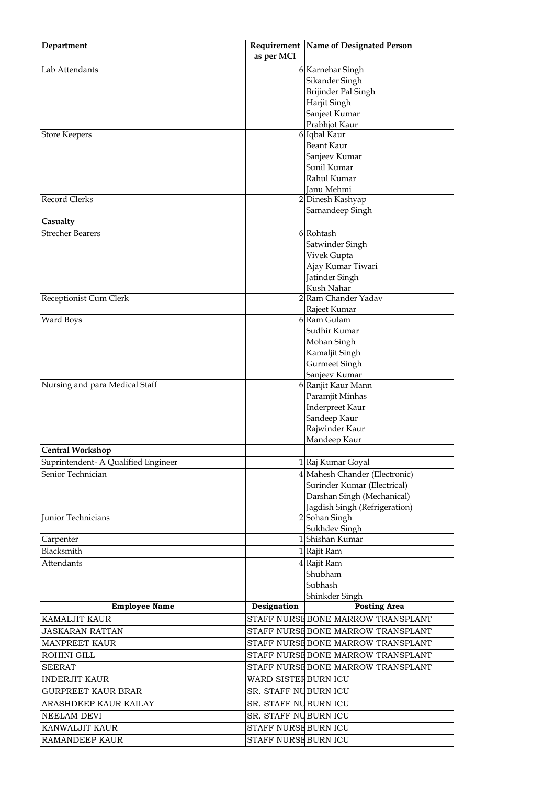| Department                          |                      | Requirement   Name of Designated Person        |
|-------------------------------------|----------------------|------------------------------------------------|
|                                     | as per MCI           |                                                |
| Lab Attendants                      |                      | 6 Karnehar Singh                               |
|                                     |                      | Sikander Singh                                 |
|                                     |                      | Brijinder Pal Singh                            |
|                                     |                      | Harjit Singh                                   |
|                                     |                      | Sanjeet Kumar                                  |
|                                     |                      | Prabhjot Kaur                                  |
| <b>Store Keepers</b>                |                      | 6 Iqbal Kaur                                   |
|                                     |                      | <b>Beant Kaur</b>                              |
|                                     |                      | Sanjeev Kumar                                  |
|                                     |                      | Sunil Kumar                                    |
|                                     |                      | Rahul Kumar                                    |
| <b>Record Clerks</b>                |                      | Janu Mehmi<br>2 Dinesh Kashyap                 |
|                                     |                      | Samandeep Singh                                |
| Casualty                            |                      |                                                |
| <b>Strecher Bearers</b>             |                      | 6 Rohtash                                      |
|                                     |                      | Satwinder Singh                                |
|                                     |                      | Vivek Gupta                                    |
|                                     |                      | Ajay Kumar Tiwari                              |
|                                     |                      | Jatinder Singh                                 |
|                                     |                      | Kush Nahar                                     |
| Receptionist Cum Clerk              |                      | 2 Ram Chander Yadav                            |
|                                     |                      | Rajeet Kumar                                   |
| Ward Boys                           |                      | 6 Ram Gulam                                    |
|                                     |                      | Sudhir Kumar                                   |
|                                     |                      | Mohan Singh                                    |
|                                     |                      | Kamaljit Singh                                 |
|                                     |                      | Gurmeet Singh                                  |
|                                     |                      | Sanjeev Kumar                                  |
| Nursing and para Medical Staff      |                      | 6 Ranjit Kaur Mann                             |
|                                     |                      | Paramjit Minhas                                |
|                                     |                      | Inderpreet Kaur                                |
|                                     |                      | Sandeep Kaur                                   |
|                                     |                      | Rajwinder Kaur                                 |
|                                     |                      | Mandeep Kaur                                   |
| <b>Central Workshop</b>             |                      |                                                |
| Suprintendent- A Qualified Engineer |                      | 1 Raj Kumar Goyal                              |
| Senior Technician                   |                      | 4 Mahesh Chander (Electronic)                  |
|                                     |                      | Surinder Kumar (Electrical)                    |
|                                     |                      | Darshan Singh (Mechanical)                     |
| Junior Technicians                  |                      | Jagdish Singh (Refrigeration)<br>2 Sohan Singh |
|                                     |                      | Sukhdev Singh                                  |
| Carpenter                           |                      | 1 Shishan Kumar                                |
| Blacksmith                          |                      | 1 Rajit Ram                                    |
| <b>Attendants</b>                   |                      | 4 Rajit Ram                                    |
|                                     |                      | Shubham                                        |
|                                     |                      | Subhash                                        |
|                                     |                      | Shinkder Singh                                 |
| <b>Employee Name</b>                | Designation          | <b>Posting Area</b>                            |
| KAMALJIT KAUR                       |                      | STAFF NURSEBONE MARROW TRANSPLANT              |
| <b>JASKARAN RATTAN</b>              |                      | STAFF NURSE BONE MARROW TRANSPLANT             |
|                                     |                      |                                                |
| <b>MANPREET KAUR</b>                |                      | STAFF NURSEBONE MARROW TRANSPLANT              |
| ROHINI GILL                         |                      | STAFF NURSE BONE MARROW TRANSPLANT             |
| <b>SEERAT</b>                       |                      | STAFF NURSEBONE MARROW TRANSPLANT              |
| <b>INDERJIT KAUR</b>                | WARD SISTERBURN ICU  |                                                |
| <b>GURPREET KAUR BRAR</b>           | SR. STAFF NUBURN ICU |                                                |
| ARASHDEEP KAUR KAILAY               | SR. STAFF NUBURN ICU |                                                |
| NEELAM DEVI                         | SR. STAFF NUBURN ICU |                                                |
| KANWALJIT KAUR                      | STAFF NURSE BURN ICU |                                                |
| RAMANDEEP KAUR                      | STAFF NURSE BURN ICU |                                                |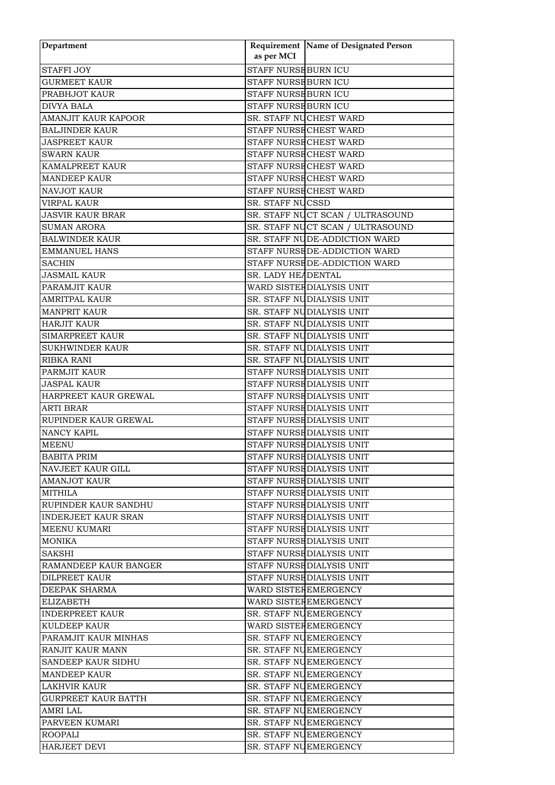| Department                   | as per MCI                  | Requirement Name of Designated Person |
|------------------------------|-----------------------------|---------------------------------------|
| <b>STAFFI JOY</b>            | <b>STAFF NURSE BURN ICU</b> |                                       |
| <b>GURMEET KAUR</b>          | STAFF NURSE BURN ICU        |                                       |
| PRABHJOT KAUR                | STAFF NURSE BURN ICU        |                                       |
| <b>DIVYA BALA</b>            | STAFF NURSE BURN ICU        |                                       |
| AMANJIT KAUR KAPOOR          |                             | SR. STAFF NUCHEST WARD                |
| <b>BALJINDER KAUR</b>        |                             | STAFF NURSE CHEST WARD                |
| <b>JASPREET KAUR</b>         |                             | STAFF NURSECHEST WARD                 |
| <b>SWARN KAUR</b>            |                             | STAFF NURSE CHEST WARD                |
| <b>KAMALPREET KAUR</b>       |                             | STAFF NURSE CHEST WARD                |
| <b>MANDEEP KAUR</b>          |                             | STAFF NURSE CHEST WARD                |
| <b>NAVJOT KAUR</b>           |                             | STAFF NURSE CHEST WARD                |
| VIRPAL KAUR                  | SR. STAFF NUCSSD            |                                       |
|                              |                             | SR. STAFF NUCT SCAN / ULTRASOUND      |
| <b>JASVIR KAUR BRAR</b>      |                             |                                       |
| <b>SUMAN ARORA</b>           |                             | SR. STAFF NUCT SCAN / ULTRASOUND      |
| <b>BALWINDER KAUR</b>        |                             | SR. STAFF NUDE-ADDICTION WARD         |
| <b>EMMANUEL HANS</b>         |                             | STAFF NURSEDE-ADDICTION WARD          |
| <b>SACHIN</b>                |                             | STAFF NURSE DE-ADDICTION WARD         |
| <b>JASMAIL KAUR</b>          | SR. LADY HEADENTAL          |                                       |
| PARAMJIT KAUR                |                             | WARD SISTEF DIALYSIS UNIT             |
| <b>AMRITPAL KAUR</b>         |                             | SR. STAFF NUDIALYSIS UNIT             |
| <b>MANPRIT KAUR</b>          |                             | SR. STAFF NUDIALYSIS UNIT             |
| <b>HARJIT KAUR</b>           |                             | SR. STAFF NUDIALYSIS UNIT             |
| <b>SIMARPREET KAUR</b>       |                             | SR. STAFF NUDIALYSIS UNIT             |
| <b>SUKHWINDER KAUR</b>       |                             | SR. STAFF NUDIALYSIS UNIT             |
| <b>RIBKA RANI</b>            |                             | SR. STAFF NUDIALYSIS UNIT             |
| PARMJIT KAUR                 |                             | STAFF NURSE DIALYSIS UNIT             |
| <b>JASPAL KAUR</b>           |                             | STAFF NURSE DIALYSIS UNIT             |
| HARPREET KAUR GREWAL         |                             | STAFF NURSE DIALYSIS UNIT             |
| <b>ARTI BRAR</b>             |                             | STAFF NURSE DIALYSIS UNIT             |
| RUPINDER KAUR GREWAL         |                             | STAFF NURSE DIALYSIS UNIT             |
| <b>NANCY KAPIL</b>           |                             | STAFF NURSE DIALYSIS UNIT             |
| <b>MEENU</b>                 |                             | STAFF NURSE DIALYSIS UNIT             |
| <b>BABITA PRIM</b>           |                             | STAFF NURSE DIALYSIS UNIT             |
| NAVJEET KAUR GILL            |                             | STAFF NURSE DIALYSIS UNIT             |
| <b>AMANJOT KAUR</b>          |                             | STAFF NURSE DIALYSIS UNIT             |
| MITHILA                      |                             | STAFF NURSE DIALYSIS UNIT             |
| RUPINDER KAUR SANDHU         |                             | STAFF NURSE DIALYSIS UNIT             |
| <b>INDERJEET KAUR SRAN</b>   |                             | STAFF NURSE DIALYSIS UNIT             |
| MEENU KUMARI                 |                             | STAFF NURSE DIALYSIS UNIT             |
| MONIKA                       |                             | STAFF NURSE DIALYSIS UNIT             |
| SAKSHI                       |                             | STAFF NURSE DIALYSIS UNIT             |
| <b>RAMANDEEP KAUR BANGER</b> |                             | STAFF NURSE DIALYSIS UNIT             |
| DILPREET KAUR                |                             | STAFF NURSE DIALYSIS UNIT             |
| <b>DEEPAK SHARMA</b>         |                             | WARD SISTEFEMERGENCY                  |
| <b>ELIZABETH</b>             |                             | WARD SISTEFEMERGENCY                  |
| <b>INDERPREET KAUR</b>       |                             | SR. STAFF NUEMERGENCY                 |
| <b>KULDEEP KAUR</b>          |                             | WARD SISTER EMERGENCY                 |
|                              |                             |                                       |
| PARAMJIT KAUR MINHAS         |                             | SR. STAFF NUEMERGENCY                 |
| RANJIT KAUR MANN             |                             | SR. STAFF NUEMERGENCY                 |
| <b>SANDEEP KAUR SIDHU</b>    |                             | SR. STAFF NUEMERGENCY                 |
| <b>MANDEEP KAUR</b>          |                             | SR. STAFF NUEMERGENCY                 |
| <b>LAKHVIR KAUR</b>          |                             | SR. STAFF NUEMERGENCY                 |
| <b>GURPREET KAUR BATTH</b>   |                             | SR. STAFF NUEMERGENCY                 |
| <b>AMRI LAL</b>              |                             | SR. STAFF NUEMERGENCY                 |
| PARVEEN KUMARI               |                             | SR. STAFF NUEMERGENCY                 |
| <b>ROOPALI</b>               |                             | SR. STAFF NUEMERGENCY                 |
| <b>HARJEET DEVI</b>          |                             | SR. STAFF NUEMERGENCY                 |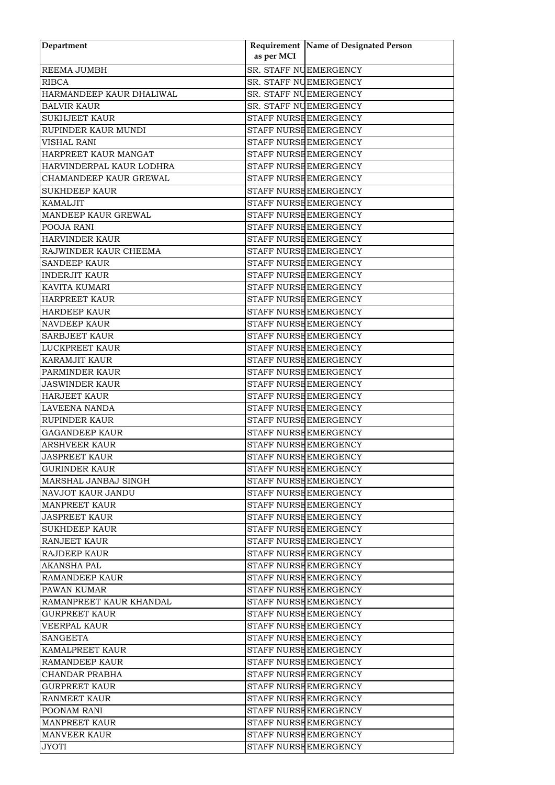| Department               | as per MCI | Requirement Name of Designated Person |
|--------------------------|------------|---------------------------------------|
|                          |            |                                       |
| REEMA JUMBH              |            | SR. STAFF NUEMERGENCY                 |
| <b>RIBCA</b>             |            | SR. STAFF NUEMERGENCY                 |
| HARMANDEEP KAUR DHALIWAL |            | SR. STAFF NUEMERGENCY                 |
| <b>BALVIR KAUR</b>       |            | SR. STAFF NUEMERGENCY                 |
| <b>SUKHJEET KAUR</b>     |            | STAFF NURSE EMERGENCY                 |
| RUPINDER KAUR MUNDI      |            | STAFF NURSE EMERGENCY                 |
| <b>VISHAL RANI</b>       |            | STAFF NURSE EMERGENCY                 |
| HARPREET KAUR MANGAT     |            | STAFF NURSE EMERGENCY                 |
| HARVINDERPAL KAUR LODHRA |            | STAFF NURSE EMERGENCY                 |
| CHAMANDEEP KAUR GREWAL   |            | STAFF NURSE EMERGENCY                 |
| <b>SUKHDEEP KAUR</b>     |            | STAFF NURSE EMERGENCY                 |
| <b>KAMALJIT</b>          |            | STAFF NURSE EMERGENCY                 |
| MANDEEP KAUR GREWAL      |            | STAFF NURSE EMERGENCY                 |
| POOJA RANI               |            | STAFF NURSE EMERGENCY                 |
| <b>HARVINDER KAUR</b>    |            | STAFF NURSE EMERGENCY                 |
| RAJWINDER KAUR CHEEMA    |            | STAFF NURSEEMERGENCY                  |
| <b>SANDEEP KAUR</b>      |            | STAFF NURSE EMERGENCY                 |
| <b>INDERJIT KAUR</b>     |            | STAFF NURSE EMERGENCY                 |
| KAVITA KUMARI            |            | STAFF NURSE EMERGENCY                 |
| <b>HARPREET KAUR</b>     |            | STAFF NURSE EMERGENCY                 |
| <b>HARDEEP KAUR</b>      |            | STAFF NURSE EMERGENCY                 |
| <b>NAVDEEP KAUR</b>      |            | STAFF NURSE EMERGENCY                 |
| <b>SARBJEET KAUR</b>     |            | STAFF NURSE EMERGENCY                 |
| <b>LUCKPREET KAUR</b>    |            | STAFF NURSE EMERGENCY                 |
| <b>KARAMJIT KAUR</b>     |            | STAFF NURSE EMERGENCY                 |
| <b>PARMINDER KAUR</b>    |            | STAFF NURSE EMERGENCY                 |
| <b>JASWINDER KAUR</b>    |            | STAFF NURSE EMERGENCY                 |
| <b>HARJEET KAUR</b>      |            | STAFF NURSE EMERGENCY                 |
| <b>LAVEENA NANDA</b>     |            | STAFF NURSE EMERGENCY                 |
| <b>RUPINDER KAUR</b>     |            | STAFF NURSE EMERGENCY                 |
| <b>GAGANDEEP KAUR</b>    |            | STAFF NURSE EMERGENCY                 |
| <b>ARSHVEER KAUR</b>     |            | STAFF NURSE EMERGENCY                 |
| <b>JASPREET KAUR</b>     |            | STAFF NURSE EMERGENCY                 |
| GURINDER KAUR            |            | STAFF NURSE EMERGENCY                 |
| MARSHAL JANBAJ SINGH     |            | STAFF NURSE EMERGENCY                 |
| NAVJOT KAUR JANDU        |            | STAFF NURSE EMERGENCY                 |
| <b>MANPREET KAUR</b>     |            | STAFF NURSHEMERGENCY                  |
| <b>JASPREET KAUR</b>     |            | STAFF NURSE EMERGENCY                 |
| <b>SUKHDEEP KAUR</b>     |            | STAFF NURSE EMERGENCY                 |
| <b>RANJEET KAUR</b>      |            | STAFF NURSE EMERGENCY                 |
|                          |            | STAFF NURSE EMERGENCY                 |
| RAJDEEP KAUR             |            |                                       |
| <b>AKANSHA PAL</b>       |            | STAFF NURSE EMERGENCY                 |
| RAMANDEEP KAUR           |            | STAFF NURSE EMERGENCY                 |
| <b>PAWAN KUMAR</b>       |            | STAFF NURSE EMERGENCY                 |
| RAMANPREET KAUR KHANDAL  |            | STAFF NURSE EMERGENCY                 |
| <b>GURPREET KAUR</b>     |            | STAFF NURSE EMERGENCY                 |
| <b>VEERPAL KAUR</b>      |            | STAFF NURSE EMERGENCY                 |
| <b>SANGEETA</b>          |            | STAFF NURSE EMERGENCY                 |
| <b>KAMALPREET KAUR</b>   |            | STAFF NURSEEMERGENCY                  |
| RAMANDEEP KAUR           |            | STAFF NURSE EMERGENCY                 |
| <b>CHANDAR PRABHA</b>    |            | STAFF NURSE EMERGENCY                 |
| <b>GURPREET KAUR</b>     |            | STAFF NURSE EMERGENCY                 |
| <b>RANMEET KAUR</b>      |            | STAFF NURSE EMERGENCY                 |
| POONAM RANI              |            | STAFF NURSE EMERGENCY                 |
| <b>MANPREET KAUR</b>     |            | STAFF NURSE EMERGENCY                 |
| <b>MANVEER KAUR</b>      |            | STAFF NURSE EMERGENCY                 |
| JYOTI                    |            | STAFF NURSE EMERGENCY                 |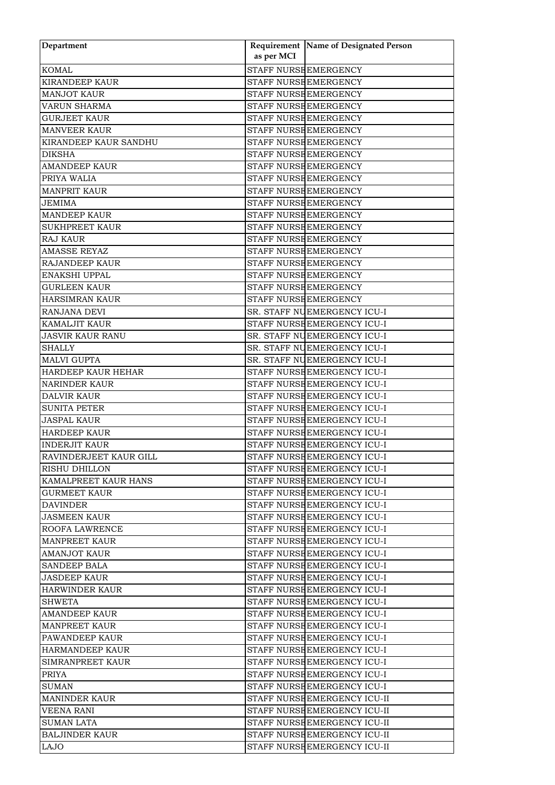| Department                  | as per MCI | Requirement Name of Designated Person |
|-----------------------------|------------|---------------------------------------|
|                             |            |                                       |
| <b>KOMAL</b>                |            | STAFF NURSE EMERGENCY                 |
| <b>KIRANDEEP KAUR</b>       |            | STAFF NURSE EMERGENCY                 |
| <b>MANJOT KAUR</b>          |            | STAFF NURSE EMERGENCY                 |
| VARUN SHARMA                |            | STAFF NURSE EMERGENCY                 |
| <b>GURJEET KAUR</b>         |            | STAFF NURSE EMERGENCY                 |
| <b>MANVEER KAUR</b>         |            | STAFF NURSE EMERGENCY                 |
| KIRANDEEP KAUR SANDHU       |            | STAFF NURSE EMERGENCY                 |
| <b>DIKSHA</b>               |            | STAFF NURSE EMERGENCY                 |
| <b>AMANDEEP KAUR</b>        |            | STAFF NURSE EMERGENCY                 |
| PRIYA WALIA                 |            | STAFF NURSE EMERGENCY                 |
| <b>MANPRIT KAUR</b>         |            | STAFF NURSE EMERGENCY                 |
| JEMIMA                      |            | STAFF NURSE EMERGENCY                 |
| <b>MANDEEP KAUR</b>         |            | STAFF NURSE EMERGENCY                 |
| <b>SUKHPREET KAUR</b>       |            | STAFF NURSE EMERGENCY                 |
| <b>RAJ KAUR</b>             |            | STAFF NURSE EMERGENCY                 |
| AMASSE REYAZ                |            | STAFF NURSE EMERGENCY                 |
| <b>RAJANDEEP KAUR</b>       |            | STAFF NURSE EMERGENCY                 |
| <b>ENAKSHI UPPAL</b>        |            | STAFF NURSE EMERGENCY                 |
| <b>GURLEEN KAUR</b>         |            | STAFF NURSE EMERGENCY                 |
| <b>HARSIMRAN KAUR</b>       |            | STAFF NURSE EMERGENCY                 |
| RANJANA DEVI                |            | SR. STAFF NUEMERGENCY ICU-I           |
| <b>KAMALJIT KAUR</b>        |            | STAFF NURSE EMERGENCY ICU-I           |
| <b>JASVIR KAUR RANU</b>     |            | SR. STAFF NUEMERGENCY ICU-I           |
| <b>SHALLY</b>               |            | SR. STAFF NUEMERGENCY ICU-I           |
| <b>MALVI GUPTA</b>          |            | SR. STAFF NUEMERGENCY ICU-I           |
| HARDEEP KAUR HEHAR          |            | STAFF NURSE EMERGENCY ICU-I           |
| <b>NARINDER KAUR</b>        |            | STAFF NURSE EMERGENCY ICU-I           |
| <b>DALVIR KAUR</b>          |            | STAFF NURSE EMERGENCY ICU-I           |
| <b>SUNITA PETER</b>         |            | STAFF NURSE EMERGENCY ICU-I           |
| <b>JASPAL KAUR</b>          |            | STAFF NURSE EMERGENCY ICU-I           |
| <b>HARDEEP KAUR</b>         |            | STAFF NURSEEMERGENCY ICU-I            |
| <b>INDERJIT KAUR</b>        |            | STAFF NURSE EMERGENCY ICU-I           |
| RAVINDERJEET KAUR GILL      |            | STAFF NURSEEMERGENCY ICU-I            |
| <b>RISHU DHILLON</b>        |            | STAFF NURSE EMERGENCY ICU-I           |
| <b>KAMALPREET KAUR HANS</b> |            | STAFF NURSE EMERGENCY ICU-I           |
| <b>GURMEET KAUR</b>         |            | STAFF NURSE EMERGENCY ICU-I           |
| DAVINDER                    |            | STAFF NURSEEMERGENCY ICU-I            |
| <b>JASMEEN KAUR</b>         |            | STAFF NURSE EMERGENCY ICU-I           |
| ROOFA LAWRENCE              |            | STAFF NURSE EMERGENCY ICU-I           |
| <b>MANPREET KAUR</b>        |            | STAFF NURSE EMERGENCY ICU-I           |
| <b>AMANJOT KAUR</b>         |            | STAFF NURSE EMERGENCY ICU-I           |
| <b>SANDEEP BALA</b>         |            | STAFF NURSE EMERGENCY ICU-I           |
| JASDEEP KAUR                |            | STAFF NURSEEMERGENCY ICU-I            |
| <b>HARWINDER KAUR</b>       |            | STAFF NURSE EMERGENCY ICU-I           |
| <b>SHWETA</b>               |            | STAFF NURSE EMERGENCY ICU-I           |
| <b>AMANDEEP KAUR</b>        |            | STAFF NURSE EMERGENCY ICU-I           |
| <b>MANPREET KAUR</b>        |            | STAFF NURSE EMERGENCY ICU-I           |
| PAWANDEEP KAUR              |            | STAFF NURSE EMERGENCY ICU-I           |
| HARMANDEEP KAUR             |            | STAFF NURSEEMERGENCY ICU-I            |
| SIMRANPREET KAUR            |            | STAFF NURSE EMERGENCY ICU-I           |
| <b>PRIYA</b>                |            | STAFF NURSE EMERGENCY ICU-I           |
| <b>SUMAN</b>                |            | STAFF NURSE EMERGENCY ICU-I           |
| <b>MANINDER KAUR</b>        |            | STAFF NURSE EMERGENCY ICU-II          |
| <b>VEENA RANI</b>           |            | STAFF NURSE EMERGENCY ICU-II          |
| <b>SUMAN LATA</b>           |            | STAFF NURSE EMERGENCY ICU-II          |
| <b>BALJINDER KAUR</b>       |            | STAFF NURSE EMERGENCY ICU-II          |
| LAJO                        |            | STAFF NURSE EMERGENCY ICU-II          |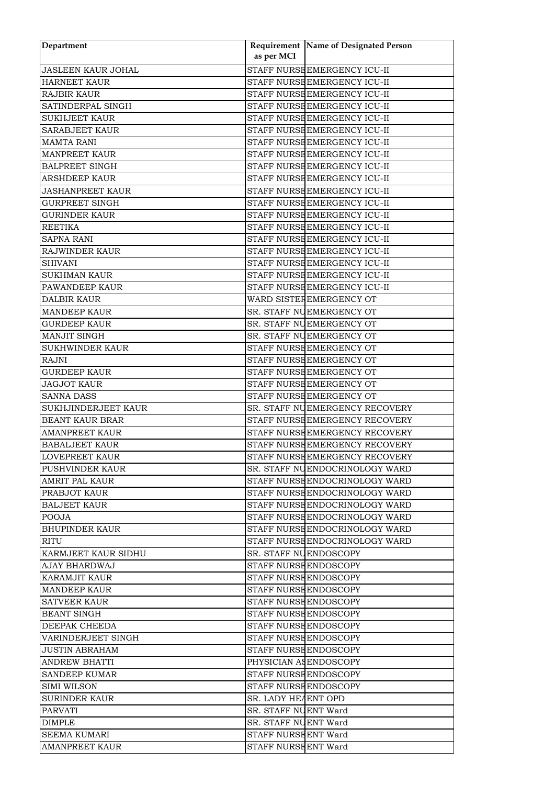| Department                | as per MCI             | Requirement Name of Designated Person |
|---------------------------|------------------------|---------------------------------------|
| <b>JASLEEN KAUR JOHAL</b> |                        | STAFF NURSE EMERGENCY ICU-II          |
| <b>HARNEET KAUR</b>       |                        | STAFF NURSE EMERGENCY ICU-II          |
| <b>RAJBIR KAUR</b>        |                        | STAFF NURSE EMERGENCY ICU-II          |
| SATINDERPAL SINGH         |                        | STAFF NURSE EMERGENCY ICU-II          |
| <b>SUKHJEET KAUR</b>      |                        | STAFF NURSE EMERGENCY ICU-II          |
| SARABJEET KAUR            |                        | STAFF NURSE EMERGENCY ICU-II          |
| <b>MAMTA RANI</b>         |                        | STAFF NURSE EMERGENCY ICU-II          |
| <b>MANPREET KAUR</b>      |                        | STAFF NURSE EMERGENCY ICU-II          |
|                           |                        |                                       |
| <b>BALPREET SINGH</b>     |                        | STAFF NURSE EMERGENCY ICU-II          |
| <b>ARSHDEEP KAUR</b>      |                        | STAFF NURSE EMERGENCY ICU-II          |
| <b>JASHANPREET KAUR</b>   |                        | STAFF NURSE EMERGENCY ICU-II          |
| GURPREET SINGH            |                        | STAFF NURSE EMERGENCY ICU-II          |
| <b>GURINDER KAUR</b>      |                        | STAFF NURSE EMERGENCY ICU-II          |
| <b>REETIKA</b>            |                        | STAFF NURSE EMERGENCY ICU-II          |
| <b>SAPNA RANI</b>         |                        | STAFF NURSE EMERGENCY ICU-II          |
| RAJWINDER KAUR            |                        | STAFF NURSE EMERGENCY ICU-II          |
| <b>SHIVANI</b>            |                        | STAFF NURSE EMERGENCY ICU-II          |
| <b>SUKHMAN KAUR</b>       |                        | STAFF NURSE EMERGENCY ICU-II          |
| PAWANDEEP KAUR            |                        | STAFF NURSE EMERGENCY ICU-II          |
| <b>DALBIR KAUR</b>        |                        | WARD SISTEFEMERGENCY OT               |
| <b>MANDEEP KAUR</b>       |                        | SR. STAFF NUEMERGENCY OT              |
| <b>GURDEEP KAUR</b>       |                        | SR. STAFF NUEMERGENCY OT              |
| MANJIT SINGH              |                        | SR. STAFF NUEMERGENCY OT              |
| <b>SUKHWINDER KAUR</b>    |                        | STAFF NURSE EMERGENCY OT              |
| RAJNI                     |                        | STAFF NURSE EMERGENCY OT              |
| <b>GURDEEP KAUR</b>       |                        | STAFF NURSE EMERGENCY OT              |
| <b>JAGJOT KAUR</b>        |                        | STAFF NURSE EMERGENCY OT              |
| <b>SANNA DASS</b>         |                        | STAFF NURSE EMERGENCY OT              |
| SUKHJINDERJEET KAUR       |                        | SR. STAFF NUEMERGENCY RECOVERY        |
| <b>BEANT KAUR BRAR</b>    |                        | STAFF NURSE EMERGENCY RECOVERY        |
| <b>AMANPREET KAUR</b>     |                        | STAFF NURSE EMERGENCY RECOVERY        |
| <b>BABALJEET KAUR</b>     |                        | STAFF NURSE EMERGENCY RECOVERY        |
| LOVEPREET KAUR            |                        | STAFF NURSE EMERGENCY RECOVERY        |
| PUSHVINDER KAUR           |                        | SR. STAFF NUENDOCRINOLOGY WARD        |
| <b>AMRIT PAL KAUR</b>     |                        | STAFF NURSE ENDOCRINOLOGY WARD        |
| PRABJOT KAUR              |                        | STAFF NURSE ENDOCRINOLOGY WARD        |
| <b>BALJEET KAUR</b>       |                        | STAFF NURSEENDOCRINOLOGY WARD         |
| <b>POOJA</b>              |                        | STAFF NURSE ENDOCRINOLOGY WARD        |
| <b>BHUPINDER KAUR</b>     |                        | STAFF NURSE ENDOCRINOLOGY WARD        |
| <b>RITU</b>               |                        | STAFF NURSE ENDOCRINOLOGY WARD        |
| KARMJEET KAUR SIDHU       | SR. STAFF NUENDOSCOPY  |                                       |
| AJAY BHARDWAJ             | STAFF NURSE ENDOSCOPY  |                                       |
| KARAMJIT KAUR             | STAFF NURSE ENDOSCOPY  |                                       |
| <b>MANDEEP KAUR</b>       | STAFF NURSE ENDOSCOPY  |                                       |
| <b>SATVEER KAUR</b>       | STAFF NURSE ENDOSCOPY  |                                       |
| <b>BEANT SINGH</b>        | STAFF NURSE ENDOSCOPY  |                                       |
| DEEPAK CHEEDA             | STAFF NURSE ENDOSCOPY  |                                       |
| VARINDERJEET SINGH        | STAFF NURSE ENDOSCOPY  |                                       |
| JUSTIN ABRAHAM            | STAFF NURSE ENDOSCOPY  |                                       |
| <b>ANDREW BHATTI</b>      | PHYSICIAN AS ENDOSCOPY |                                       |
| <b>SANDEEP KUMAR</b>      | STAFF NURSE ENDOSCOPY  |                                       |
| <b>SIMI WILSON</b>        | STAFF NURSE ENDOSCOPY  |                                       |
| <b>SURINDER KAUR</b>      | SR. LADY HEAENT OPD    |                                       |
| PARVATI                   | SR. STAFF NUENT Ward   |                                       |
| DIMPLE                    | SR. STAFF NUENT Ward   |                                       |
|                           |                        |                                       |
| <b>SEEMA KUMARI</b>       | STAFF NURSE ENT Ward   |                                       |
| <b>AMANPREET KAUR</b>     | STAFF NURSEENT Ward    |                                       |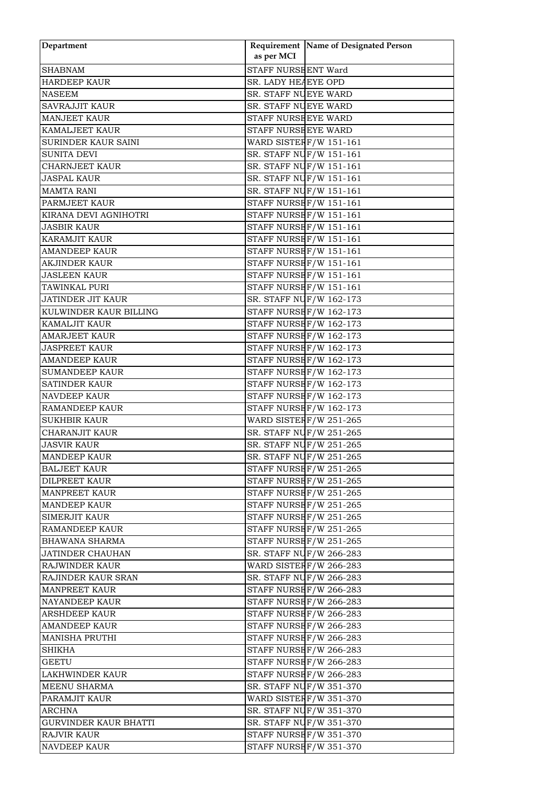| Department                   | as per MCI                                         | Requirement Name of Designated Person |
|------------------------------|----------------------------------------------------|---------------------------------------|
| <b>SHABNAM</b>               | STAFF NURSE ENT Ward                               |                                       |
| <b>HARDEEP KAUR</b>          | SR. LADY HEAEYE OPD                                |                                       |
| <b>NASEEM</b>                | SR. STAFF NUEYE WARD                               |                                       |
| <b>SAVRAJJIT KAUR</b>        | SR. STAFF NUEYE WARD                               |                                       |
| <b>MANJEET KAUR</b>          | STAFF NURSE EYE WARD                               |                                       |
|                              |                                                    |                                       |
| <b>KAMALJEET KAUR</b>        | STAFF NURSHEYE WARD                                |                                       |
| <b>SURINDER KAUR SAINI</b>   | WARD SISTER F/W 151-161<br>SR. STAFF NUF/W 151-161 |                                       |
| SUNITA DEVI                  |                                                    |                                       |
| <b>CHARNJEET KAUR</b>        | SR. STAFF NUF/W 151-161                            |                                       |
| <b>JASPAL KAUR</b>           | SR. STAFF NUF/W 151-161                            |                                       |
| <b>MAMTA RANI</b>            | SR. STAFF NUF/W 151-161                            |                                       |
| PARMJEET KAUR                | STAFF NURSE F/W 151-161                            |                                       |
| KIRANA DEVI AGNIHOTRI        | STAFF NURSEF/W 151-161                             |                                       |
| <b>JASBIR KAUR</b>           | STAFF NURSEF/W 151-161                             |                                       |
| <b>KARAMJIT KAUR</b>         | STAFF NURSEF/W 151-161                             |                                       |
| <b>AMANDEEP KAUR</b>         | STAFF NURSEF/W 151-161                             |                                       |
| <b>AKJINDER KAUR</b>         | STAFF NURSEF/W 151-161                             |                                       |
| <b>JASLEEN KAUR</b>          | STAFF NURSEF/W 151-161                             |                                       |
| <b>TAWINKAL PURI</b>         | STAFF NURSEF/W 151-161                             |                                       |
| <b>JATINDER JIT KAUR</b>     |                                                    | SR. STAFF NUF/W 162-173               |
| KULWINDER KAUR BILLING       |                                                    | STAFF NURSEF/W 162-173                |
| <b>KAMALJIT KAUR</b>         | STAFF NURSEF/W 162-173                             |                                       |
| <b>AMARJEET KAUR</b>         |                                                    | STAFF NURSEF/W 162-173                |
| <b>JASPREET KAUR</b>         |                                                    | STAFF NURSEF/W 162-173                |
| <b>AMANDEEP KAUR</b>         | STAFF NURSEF/W 162-173                             |                                       |
| <b>SUMANDEEP KAUR</b>        |                                                    | STAFF NURSE F/W 162-173               |
| <b>SATINDER KAUR</b>         |                                                    | STAFF NURSEF/W 162-173                |
| <b>NAVDEEP KAUR</b>          | STAFF NURSEF/W 162-173                             |                                       |
| <b>RAMANDEEP KAUR</b>        | STAFF NURSE F/W 162-173                            |                                       |
| <b>SUKHBIR KAUR</b>          |                                                    | WARD SISTER F/W 251-265               |
| <b>CHARANJIT KAUR</b>        |                                                    | SR. STAFF NUF/W 251-265               |
| <b>JASVIR KAUR</b>           |                                                    | SR. STAFF NUF/W 251-265               |
| MANDEEP KAUR                 | SR. STAFF NUF/W 251-265                            |                                       |
| <b>BALJEET KAUR</b>          | STAFF NURSEF/W 251-265                             |                                       |
| <b>DILPREET KAUR</b>         |                                                    | STAFF NURSEF/W 251-265                |
| <b>MANPREET KAUR</b>         |                                                    | STAFF NURSEF/W 251-265                |
| <b>MANDEEP KAUR</b>          |                                                    | STAFF NURSEF/W 251-265                |
| <b>SIMERJIT KAUR</b>         | STAFF NURSEF/W 251-265                             |                                       |
| <b>RAMANDEEP KAUR</b>        |                                                    | STAFF NURSE F/W 251-265               |
| <b>BHAWANA SHARMA</b>        |                                                    | STAFF NURSEF/W 251-265                |
| <b>JATINDER CHAUHAN</b>      | SR. STAFF NUF/W 266-283                            |                                       |
| <b>RAJWINDER KAUR</b>        |                                                    | WARD SISTERF/W 266-283                |
| RAJINDER KAUR SRAN           |                                                    | SR. STAFF NUF/W 266-283               |
| <b>MANPREET KAUR</b>         | STAFF NURSEF/W 266-283                             |                                       |
| NAYANDEEP KAUR               | STAFF NURSEF/W 266-283                             |                                       |
| <b>ARSHDEEP KAUR</b>         | STAFF NURSE F/W 266-283                            |                                       |
| <b>AMANDEEP KAUR</b>         | STAFF NURSEF/W 266-283                             |                                       |
| <b>MANISHA PRUTHI</b>        | STAFF NURSEF/W 266-283                             |                                       |
| SHIKHA                       | STAFF NURSEF/W 266-283                             |                                       |
| <b>GEETU</b>                 | STAFF NURSEF/W 266-283                             |                                       |
| LAKHWINDER KAUR              |                                                    | STAFF NURSEF/W 266-283                |
| MEENU SHARMA                 |                                                    | SR. STAFF NUF/W 351-370               |
|                              |                                                    |                                       |
| PARAMJIT KAUR                |                                                    | WARD SISTERF/W 351-370                |
| ARCHNA                       |                                                    | SR. STAFF NUF/W 351-370               |
| <b>GURVINDER KAUR BHATTI</b> |                                                    | SR. STAFF NUF/W 351-370               |
| <b>RAJVIR KAUR</b>           |                                                    | STAFF NURSEF/W 351-370                |
| NAVDEEP KAUR                 |                                                    | STAFF NURSEF/W 351-370                |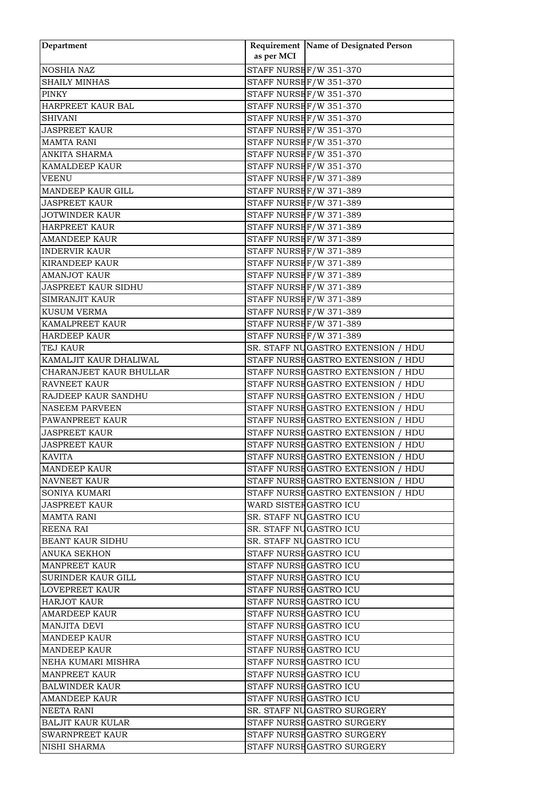| Department                 |                         | Requirement Name of Designated Person |
|----------------------------|-------------------------|---------------------------------------|
|                            | as per MCI              |                                       |
| NOSHIA NAZ                 | STAFF NURSE F/W 351-370 |                                       |
| <b>SHAILY MINHAS</b>       | STAFF NURSEF/W 351-370  |                                       |
| <b>PINKY</b>               | STAFF NURSEF/W 351-370  |                                       |
| HARPREET KAUR BAL          | STAFF NURSEF/W 351-370  |                                       |
| <b>SHIVANI</b>             | STAFF NURSEF/W 351-370  |                                       |
| <b>JASPREET KAUR</b>       | STAFF NURSEF/W 351-370  |                                       |
| <b>MAMTA RANI</b>          | STAFF NURSEF/W 351-370  |                                       |
| <b>ANKITA SHARMA</b>       | STAFF NURSEF/W 351-370  |                                       |
| <b>KAMALDEEP KAUR</b>      | STAFF NURSEF/W 351-370  |                                       |
| <b>VEENU</b>               | STAFF NURSE F/W 371-389 |                                       |
| MANDEEP KAUR GILL          | STAFF NURSE F/W 371-389 |                                       |
| <b>JASPREET KAUR</b>       | STAFF NURSEF/W 371-389  |                                       |
| <b>JOTWINDER KAUR</b>      | STAFF NURSEF/W 371-389  |                                       |
| <b>HARPREET KAUR</b>       | STAFF NURSE F/W 371-389 |                                       |
| <b>AMANDEEP KAUR</b>       | STAFF NURSEF/W 371-389  |                                       |
| <b>INDERVIR KAUR</b>       | STAFF NURSEF/W 371-389  |                                       |
| <b>KIRANDEEP KAUR</b>      | STAFF NURSEF/W 371-389  |                                       |
| <b>AMANJOT KAUR</b>        | STAFF NURSEF/W 371-389  |                                       |
| <b>JASPREET KAUR SIDHU</b> | STAFF NURSEF/W 371-389  |                                       |
| <b>SIMRANJIT KAUR</b>      | STAFF NURSE F/W 371-389 |                                       |
| <b>KUSUM VERMA</b>         | STAFF NURSEF/W 371-389  |                                       |
| <b>KAMALPREET KAUR</b>     | STAFF NURSEF/W 371-389  |                                       |
| <b>HARDEEP KAUR</b>        | STAFF NURSEF/W 371-389  |                                       |
| <b>TEJ KAUR</b>            |                         | SR. STAFF NUGASTRO EXTENSION / HDU    |
| KAMALJIT KAUR DHALIWAL     |                         | STAFF NURSE GASTRO EXTENSION / HDU    |
| CHARANJEET KAUR BHULLAR    |                         | STAFF NURSE GASTRO EXTENSION / HDU    |
| <b>RAVNEET KAUR</b>        |                         | STAFF NURSE GASTRO EXTENSION / HDU    |
| RAJDEEP KAUR SANDHU        |                         | STAFF NURSE GASTRO EXTENSION / HDU    |
| <b>NASEEM PARVEEN</b>      |                         | STAFF NURSE GASTRO EXTENSION / HDU    |
| PAWANPREET KAUR            |                         | STAFF NURSE GASTRO EXTENSION / HDU    |
| <b>JASPREET KAUR</b>       |                         | STAFF NURSE GASTRO EXTENSION / HDU    |
| <b>JASPREET KAUR</b>       |                         | STAFF NURSE GASTRO EXTENSION / HDU    |
| <b>KAVITA</b>              |                         | STAFF NURSE GASTRO EXTENSION / HDU    |
| <b>MANDEEP KAUR</b>        |                         | STAFF NURSE GASTRO EXTENSION / HDU    |
| <b>NAVNEET KAUR</b>        |                         | STAFF NURSEGASTRO EXTENSION / HDU     |
| <b>SONIYA KUMARI</b>       |                         | STAFF NURSE GASTRO EXTENSION / HDU    |
| <b>JASPREET KAUR</b>       | WARD SISTERGASTRO ICU   |                                       |
| <b>MAMTA RANI</b>          | SR. STAFF NUGASTRO ICU  |                                       |
| <b>REENA RAI</b>           | SR. STAFF NUGASTRO ICU  |                                       |
| <b>BEANT KAUR SIDHU</b>    | SR. STAFF NUGASTRO ICU  |                                       |
| <b>ANUKA SEKHON</b>        | STAFF NURSE GASTRO ICU  |                                       |
| <b>MANPREET KAUR</b>       | STAFF NURSE GASTRO ICU  |                                       |
| SURINDER KAUR GILL         | STAFF NURSE GASTRO ICU  |                                       |
| <b>LOVEPREET KAUR</b>      | STAFF NURSE GASTRO ICU  |                                       |
| <b>HARJOT KAUR</b>         | STAFF NURSE GASTRO ICU  |                                       |
| <b>AMARDEEP KAUR</b>       | STAFF NURSE GASTRO ICU  |                                       |
| <b>MANJITA DEVI</b>        | STAFF NURSE GASTRO ICU  |                                       |
| <b>MANDEEP KAUR</b>        | STAFF NURSE GASTRO ICU  |                                       |
| <b>MANDEEP KAUR</b>        | STAFF NURSE GASTRO ICU  |                                       |
| NEHA KUMARI MISHRA         | STAFF NURSE GASTRO ICU  |                                       |
| <b>MANPREET KAUR</b>       | STAFF NURSE GASTRO ICU  |                                       |
| <b>BALWINDER KAUR</b>      | STAFF NURSE GASTRO ICU  |                                       |
| <b>AMANDEEP KAUR</b>       | STAFF NURSE GASTRO ICU  |                                       |
| NEETA RANI                 |                         | SR. STAFF NUGASTRO SURGERY            |
| <b>BALJIT KAUR KULAR</b>   |                         | STAFF NURSE GASTRO SURGERY            |
| <b>SWARNPREET KAUR</b>     |                         | STAFF NURSE GASTRO SURGERY            |
| NISHI SHARMA               |                         | STAFF NURSE GASTRO SURGERY            |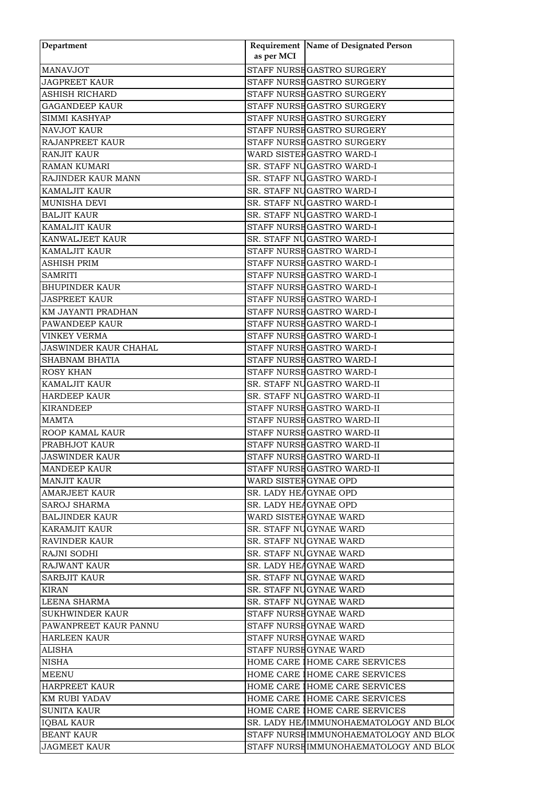| Department             |                       | Requirement Name of Designated Person  |  |
|------------------------|-----------------------|----------------------------------------|--|
|                        | as per MCI            |                                        |  |
| <b>MANAVJOT</b>        |                       | STAFF NURSE GASTRO SURGERY             |  |
| <b>JAGPREET KAUR</b>   |                       | STAFF NURSE GASTRO SURGERY             |  |
| ASHISH RICHARD         |                       | STAFF NURSE GASTRO SURGERY             |  |
| <b>GAGANDEEP KAUR</b>  |                       | STAFF NURSE GASTRO SURGERY             |  |
| SIMMI KASHYAP          |                       | STAFF NURSE GASTRO SURGERY             |  |
| NAVJOT KAUR            |                       | STAFF NURSE GASTRO SURGERY             |  |
| RAJANPREET KAUR        |                       | STAFF NURSE GASTRO SURGERY             |  |
| <b>RANJIT KAUR</b>     |                       | WARD SISTER GASTRO WARD-I              |  |
| <b>RAMAN KUMARI</b>    |                       | SR. STAFF NUGASTRO WARD-I              |  |
| RAJINDER KAUR MANN     |                       | SR. STAFF NUGASTRO WARD-I              |  |
| KAMALJIT KAUR          |                       | SR. STAFF NUGASTRO WARD-I              |  |
| MUNISHA DEVI           |                       | SR. STAFF NUGASTRO WARD-I              |  |
| <b>BALJIT KAUR</b>     |                       | SR. STAFF NUGASTRO WARD-I              |  |
| <b>KAMALJIT KAUR</b>   |                       | STAFF NURSE GASTRO WARD-I              |  |
| KANWALJEET KAUR        |                       | SR. STAFF NUGASTRO WARD-I              |  |
| <b>KAMALJIT KAUR</b>   |                       | STAFF NURSE GASTRO WARD-I              |  |
| <b>ASHISH PRIM</b>     |                       | STAFF NURSE GASTRO WARD-I              |  |
| <b>SAMRITI</b>         |                       | STAFF NURSE GASTRO WARD-I              |  |
| <b>BHUPINDER KAUR</b>  |                       | STAFF NURSE GASTRO WARD-I              |  |
| <b>JASPREET KAUR</b>   |                       | STAFF NURSE GASTRO WARD-I              |  |
| KM JAYANTI PRADHAN     |                       | STAFF NURSE GASTRO WARD-I              |  |
| PAWANDEEP KAUR         |                       | STAFF NURSE GASTRO WARD-I              |  |
| <b>VINKEY VERMA</b>    |                       | STAFF NURSE GASTRO WARD-I              |  |
| JASWINDER KAUR CHAHAL  |                       | STAFF NURSE GASTRO WARD-I              |  |
| <b>SHABNAM BHATIA</b>  |                       | STAFF NURSE GASTRO WARD-I              |  |
| <b>ROSY KHAN</b>       |                       | STAFF NURSE GASTRO WARD-I              |  |
| <b>KAMALJIT KAUR</b>   |                       | SR. STAFF NUGASTRO WARD-II             |  |
| <b>HARDEEP KAUR</b>    |                       | SR. STAFF NUGASTRO WARD-II             |  |
| <b>KIRANDEEP</b>       |                       | STAFF NURSE GASTRO WARD-II             |  |
| <b>MAMTA</b>           |                       | STAFF NURSE GASTRO WARD-II             |  |
| ROOP KAMAL KAUR        |                       | STAFF NURSEGASTRO WARD-II              |  |
| PRABHJOT KAUR          |                       | STAFF NURSE GASTRO WARD-II             |  |
| <b>JASWINDER KAUR</b>  |                       | STAFF NURSE GASTRO WARD-II             |  |
| <b>MANDEEP KAUR</b>    |                       | STAFF NURSE GASTRO WARD-II             |  |
| <b>MANJIT KAUR</b>     |                       |                                        |  |
| <b>AMARJEET KAUR</b>   | WARD SISTER GYNAE OPD |                                        |  |
|                        | SR. LADY HEAGYNAE OPD |                                        |  |
| <b>SAROJ SHARMA</b>    | SR. LADY HEAGYNAE OPD |                                        |  |
| <b>BALJINDER KAUR</b>  |                       | WARD SISTERGYNAE WARD                  |  |
| <b>KARAMJIT KAUR</b>   |                       | SR. STAFF NUGYNAE WARD                 |  |
| <b>RAVINDER KAUR</b>   |                       | SR. STAFF NUGYNAE WARD                 |  |
| RAJNI SODHI            |                       | SR. STAFF NUGYNAE WARD                 |  |
| <b>RAJWANT KAUR</b>    |                       | SR. LADY HEAGYNAE WARD                 |  |
| <b>SARBJIT KAUR</b>    |                       | SR. STAFF NUGYNAE WARD                 |  |
| <b>KIRAN</b>           |                       | SR. STAFF NUGYNAE WARD                 |  |
| <b>LEENA SHARMA</b>    |                       | SR. STAFF NUGYNAE WARD                 |  |
| <b>SUKHWINDER KAUR</b> |                       | STAFF NURSE GYNAE WARD                 |  |
| PAWANPREET KAUR PANNU  |                       | STAFF NURSE GYNAE WARD                 |  |
| <b>HARLEEN KAUR</b>    |                       | STAFF NURSE GYNAE WARD                 |  |
| <b>ALISHA</b>          |                       | STAFF NURSE GYNAE WARD                 |  |
| <b>NISHA</b>           |                       | HOME CARE IHOME CARE SERVICES          |  |
| <b>MEENU</b>           |                       | HOME CARE IHOME CARE SERVICES          |  |
| <b>HARPREET KAUR</b>   |                       | HOME CARE IHOME CARE SERVICES          |  |
| KM RUBI YADAV          |                       | HOME CARE IHOME CARE SERVICES          |  |
| <b>SUNITA KAUR</b>     |                       | HOME CARE IHOME CARE SERVICES          |  |
| <b>IQBAL KAUR</b>      |                       | SR. LADY HEAIMMUNOHAEMATOLOGY AND BLOC |  |
| <b>BEANT KAUR</b>      |                       | STAFF NURSEIMMUNOHAEMATOLOGY AND BLOC  |  |
| <b>JAGMEET KAUR</b>    |                       | STAFF NURSEIMMUNOHAEMATOLOGY AND BLOC  |  |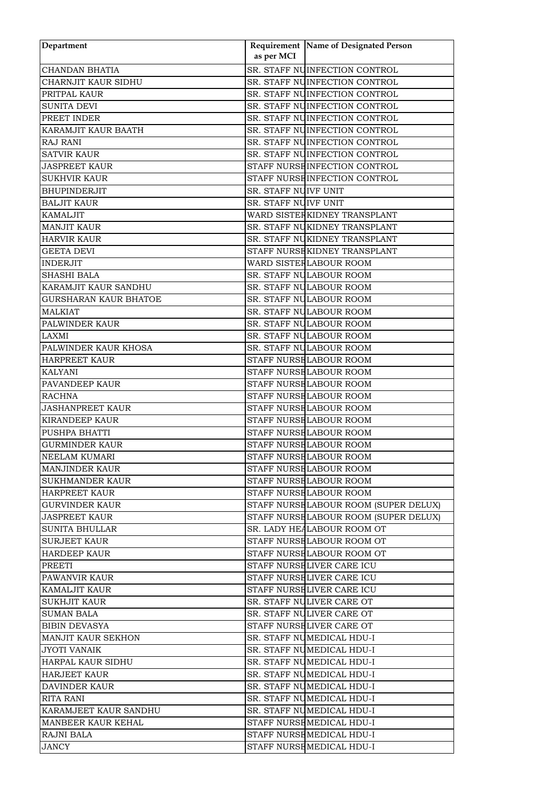| Department                   | as per MCI                  | Requirement Name of Designated Person |
|------------------------------|-----------------------------|---------------------------------------|
| <b>CHANDAN BHATIA</b>        |                             | SR. STAFF NUINFECTION CONTROL         |
| CHARNJIT KAUR SIDHU          |                             | SR. STAFF NUINFECTION CONTROL         |
| PRITPAL KAUR                 |                             | SR. STAFF NUINFECTION CONTROL         |
| <b>SUNITA DEVI</b>           |                             | SR. STAFF NUINFECTION CONTROL         |
|                              |                             | SR. STAFF NUINFECTION CONTROL         |
| PREET INDER                  |                             |                                       |
| KARAMJIT KAUR BAATH          |                             | SR. STAFF NUINFECTION CONTROL         |
| <b>RAJ RANI</b>              |                             | SR. STAFF NUINFECTION CONTROL         |
| <b>SATVIR KAUR</b>           |                             | SR. STAFF NUINFECTION CONTROL         |
| <b>JASPREET KAUR</b>         |                             | STAFF NURSE INFECTION CONTROL         |
| <b>SUKHVIR KAUR</b>          |                             | STAFF NURSE INFECTION CONTROL         |
| <b>BHUPINDERJIT</b>          | SR. STAFF NUIVF UNIT        |                                       |
| <b>BALJIT KAUR</b>           | <b>SR. STAFF NUIVF UNIT</b> |                                       |
| <b>KAMALJIT</b>              |                             | WARD SISTER KIDNEY TRANSPLANT         |
| <b>MANJIT KAUR</b>           |                             | SR. STAFF NUKIDNEY TRANSPLANT         |
| <b>HARVIR KAUR</b>           |                             | SR. STAFF NUKIDNEY TRANSPLANT         |
| <b>GEETA DEVI</b>            |                             | STAFF NURSE KIDNEY TRANSPLANT         |
| INDERJIT                     |                             | WARD SISTER LABOUR ROOM               |
| <b>SHASHI BALA</b>           |                             | SR. STAFF NULABOUR ROOM               |
| KARAMJIT KAUR SANDHU         |                             | SR. STAFF NULABOUR ROOM               |
| <b>GURSHARAN KAUR BHATOE</b> |                             | SR. STAFF NULABOUR ROOM               |
| <b>MALKIAT</b>               |                             | SR. STAFF NULABOUR ROOM               |
| PALWINDER KAUR               |                             | SR. STAFF NULABOUR ROOM               |
| <b>LAXMI</b>                 |                             | SR. STAFF NULABOUR ROOM               |
| PALWINDER KAUR KHOSA         |                             | SR. STAFF NULABOUR ROOM               |
| <b>HARPREET KAUR</b>         |                             | STAFF NURSE LABOUR ROOM               |
| <b>KALYANI</b>               |                             | STAFF NURSE LABOUR ROOM               |
| PAVANDEEP KAUR               |                             | STAFF NURSE LABOUR ROOM               |
| <b>RACHNA</b>                |                             | STAFF NURSE LABOUR ROOM               |
| <b>JASHANPREET KAUR</b>      |                             | STAFF NURSE LABOUR ROOM               |
| <b>KIRANDEEP KAUR</b>        |                             | STAFF NURSE LABOUR ROOM               |
| PUSHPA BHATTI                |                             | STAFF NURSE LABOUR ROOM               |
| <b>GURMINDER KAUR</b>        |                             | STAFF NURSE LABOUR ROOM               |
| NEELAM KUMARI                |                             | STAFF NURSE LABOUR ROOM               |
| MANJINDER KAUR               |                             | STAFF NURSE LABOUR ROOM               |
| <b>SUKHMANDER KAUR</b>       |                             | STAFF NURSE LABOUR ROOM               |
| <b>HARPREET KAUR</b>         |                             | STAFF NURSELABOUR ROOM                |
| GURVINDER KAUR               |                             | STAFF NURSELABOUR ROOM (SUPER DELUX)  |
| <b>JASPREET KAUR</b>         |                             | STAFF NURSELABOUR ROOM (SUPER DELUX)  |
| <b>SUNITA BHULLAR</b>        |                             | SR. LADY HEALABOUR ROOM OT            |
| <b>SURJEET KAUR</b>          |                             | STAFF NURSELABOUR ROOM OT             |
| <b>HARDEEP KAUR</b>          |                             | STAFF NURSELABOUR ROOM OT             |
| PREETI                       |                             | STAFF NURSELIVER CARE ICU             |
| PAWANVIR KAUR                |                             | STAFF NURSE LIVER CARE ICU            |
| <b>KAMALJIT KAUR</b>         |                             | STAFF NURSELIVER CARE ICU             |
| <b>SUKHJIT KAUR</b>          |                             | SR. STAFF NULIVER CARE OT             |
| <b>SUMAN BALA</b>            |                             | SR. STAFF NULIVER CARE OT             |
| <b>BIBIN DEVASYA</b>         |                             | STAFF NURSELIVER CARE OT              |
| <b>MANJIT KAUR SEKHON</b>    |                             | SR. STAFF NUMEDICAL HDU-I             |
| <b>JYOTI VANAIK</b>          |                             | SR. STAFF NUMEDICAL HDU-I             |
| HARPAL KAUR SIDHU            |                             | SR. STAFF NUMEDICAL HDU-I             |
| <b>HARJEET KAUR</b>          |                             | SR. STAFF NUMEDICAL HDU-I             |
| <b>DAVINDER KAUR</b>         |                             | SR. STAFF NUMEDICAL HDU-I             |
| RITA RANI                    |                             | SR. STAFF NUMEDICAL HDU-I             |
| KARAMJEET KAUR SANDHU        |                             | SR. STAFF NUMEDICAL HDU-I             |
| <b>MANBEER KAUR KEHAL</b>    |                             | STAFF NURSE MEDICAL HDU-I             |
| RAJNI BALA                   |                             | STAFF NURSE MEDICAL HDU-I             |
| <b>JANCY</b>                 |                             | STAFF NURSEMEDICAL HDU-I              |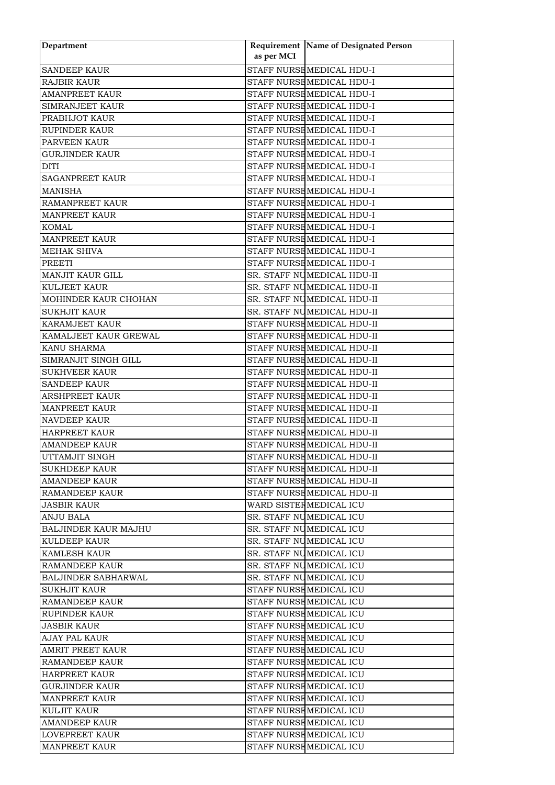| Department                  |            | <b>Requirement Name of Designated Person</b> |
|-----------------------------|------------|----------------------------------------------|
|                             | as per MCI |                                              |
| <b>SANDEEP KAUR</b>         |            | STAFF NURSEMEDICAL HDU-I                     |
| <b>RAJBIR KAUR</b>          |            | STAFF NURSE MEDICAL HDU-I                    |
| <b>AMANPREET KAUR</b>       |            | STAFF NURSEMEDICAL HDU-I                     |
| <b>SIMRANJEET KAUR</b>      |            | STAFF NURSEMEDICAL HDU-I                     |
| PRABHJOT KAUR               |            | STAFF NURSEMEDICAL HDU-I                     |
| <b>RUPINDER KAUR</b>        |            | STAFF NURSEMEDICAL HDU-I                     |
| PARVEEN KAUR                |            | STAFF NURSEMEDICAL HDU-I                     |
| <b>GURJINDER KAUR</b>       |            | STAFF NURSE MEDICAL HDU-I                    |
| <b>DITI</b>                 |            | STAFF NURSE MEDICAL HDU-I                    |
| <b>SAGANPREET KAUR</b>      |            | STAFF NURSEMEDICAL HDU-I                     |
| <b>MANISHA</b>              |            | STAFF NURSEMEDICAL HDU-I                     |
| <b>RAMANPREET KAUR</b>      |            | STAFF NURSEMEDICAL HDU-I                     |
| <b>MANPREET KAUR</b>        |            | STAFF NURSEMEDICAL HDU-I                     |
| <b>KOMAL</b>                |            | STAFF NURSE MEDICAL HDU-I                    |
| <b>MANPREET KAUR</b>        |            | STAFF NURSE MEDICAL HDU-I                    |
| <b>MEHAK SHIVA</b>          |            | STAFF NURSE MEDICAL HDU-I                    |
| <b>PREETI</b>               |            | STAFF NURSEMEDICAL HDU-I                     |
| <b>MANJIT KAUR GILL</b>     |            | SR. STAFF NUMEDICAL HDU-II                   |
| <b>KULJEET KAUR</b>         |            | SR. STAFF NUMEDICAL HDU-II                   |
| MOHINDER KAUR CHOHAN        |            | SR. STAFF NUMEDICAL HDU-II                   |
| <b>SUKHJIT KAUR</b>         |            | SR. STAFF NUMEDICAL HDU-II                   |
| <b>KARAMJEET KAUR</b>       |            | STAFF NURSE MEDICAL HDU-II                   |
| KAMALJEET KAUR GREWAL       |            | STAFF NURSE MEDICAL HDU-II                   |
| KANU SHARMA                 |            | STAFF NURSE MEDICAL HDU-II                   |
| SIMRANJIT SINGH GILL        |            | STAFF NURSE MEDICAL HDU-II                   |
| <b>SUKHVEER KAUR</b>        |            | STAFF NURSE MEDICAL HDU-II                   |
| <b>SANDEEP KAUR</b>         |            | STAFF NURSE MEDICAL HDU-II                   |
| <b>ARSHPREET KAUR</b>       |            | STAFF NURSE MEDICAL HDU-II                   |
| <b>MANPREET KAUR</b>        |            | STAFF NURSE MEDICAL HDU-II                   |
| <b>NAVDEEP KAUR</b>         |            | STAFF NURSE MEDICAL HDU-II                   |
| <b>HARPREET KAUR</b>        |            | STAFF NURSE MEDICAL HDU-II                   |
| <b>AMANDEEP KAUR</b>        |            | STAFF NURSE MEDICAL HDU-II                   |
| UTTAMJIT SINGH              |            | STAFF NURSEMEDICAL HDU-II                    |
| <b>SUKHDEEP KAUR</b>        |            | STAFF NURSEMEDICAL HDU-II                    |
| <b>AMANDEEP KAUR</b>        |            | STAFF NURSE MEDICAL HDU-II                   |
| IRAMANDEEP KAUR             |            | STAFF NURSEMEDICAL HDU-II                    |
| JASBIR KAUR                 |            | WARD SISTEF MEDICAL ICU                      |
| <b>ANJU BALA</b>            |            | SR. STAFF NUMEDICAL ICU                      |
| <b>BALJINDER KAUR MAJHU</b> |            | SR. STAFF NUMEDICAL ICU                      |
|                             |            | SR. STAFF NUMEDICAL ICU                      |
| KULDEEP KAUR                |            |                                              |
| KAMLESH KAUR                |            | SR. STAFF NUMEDICAL ICU                      |
| <b>RAMANDEEP KAUR</b>       |            | SR. STAFF NUMEDICAL ICU                      |
| <b>BALJINDER SABHARWAL</b>  |            | SR. STAFF NUMEDICAL ICU                      |
| <b>SUKHJIT KAUR</b>         |            | STAFF NURSEMEDICAL ICU                       |
| <b>RAMANDEEP KAUR</b>       |            | STAFF NURSEMEDICAL ICU                       |
| <b>RUPINDER KAUR</b>        |            | STAFF NURSEMEDICAL ICU                       |
| JASBIR KAUR                 |            | STAFF NURSE MEDICAL ICU                      |
| <b>AJAY PAL KAUR</b>        |            | STAFF NURSEMEDICAL ICU                       |
| <b>AMRIT PREET KAUR</b>     |            | STAFF NURSEMEDICAL ICU                       |
| <b>RAMANDEEP KAUR</b>       |            | STAFF NURSEMEDICAL ICU                       |
| <b>HARPREET KAUR</b>        |            | STAFF NURSEMEDICAL ICU                       |
| GURJINDER KAUR              |            | STAFF NURSEMEDICAL ICU                       |
| <b>MANPREET KAUR</b>        |            | STAFF NURSE MEDICAL ICU                      |
| <b>KULJIT KAUR</b>          |            | STAFF NURSEMEDICAL ICU                       |
| AMANDEEP KAUR               |            | STAFF NURSEMEDICAL ICU                       |
| <b>LOVEPREET KAUR</b>       |            | STAFF NURSEMEDICAL ICU                       |
| <b>MANPREET KAUR</b>        |            | STAFF NURSEMEDICAL ICU                       |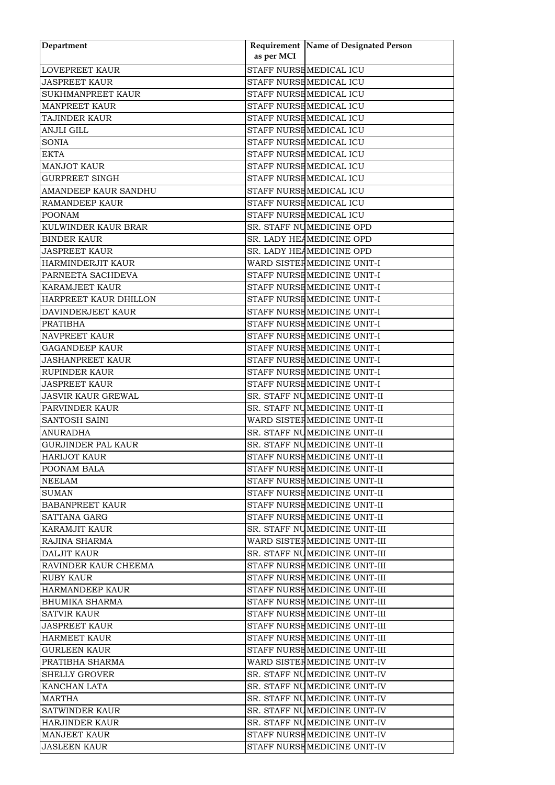| Department                |            | <b>Requirement Name of Designated Person</b> |
|---------------------------|------------|----------------------------------------------|
|                           | as per MCI |                                              |
| <b>LOVEPREET KAUR</b>     |            | STAFF NURSE MEDICAL ICU                      |
| <b>JASPREET KAUR</b>      |            | STAFF NURSEMEDICAL ICU                       |
| <b>SUKHMANPREET KAUR</b>  |            | STAFF NURSEMEDICAL ICU                       |
| <b>MANPREET KAUR</b>      |            | STAFF NURSEMEDICAL ICU                       |
| <b>TAJINDER KAUR</b>      |            | STAFF NURSEMEDICAL ICU                       |
| <b>ANJLI GILL</b>         |            | STAFF NURSE MEDICAL ICU                      |
| <b>SONIA</b>              |            | STAFF NURSEMEDICAL ICU                       |
| <b>EKTA</b>               |            | STAFF NURSE MEDICAL ICU                      |
| <b>MANJOT KAUR</b>        |            | STAFF NURSE MEDICAL ICU                      |
| <b>GURPREET SINGH</b>     |            | STAFF NURSEMEDICAL ICU                       |
| AMANDEEP KAUR SANDHU      |            | STAFF NURSEMEDICAL ICU                       |
| <b>RAMANDEEP KAUR</b>     |            | STAFF NURSEMEDICAL ICU                       |
| <b>POONAM</b>             |            | STAFF NURSEMEDICAL ICU                       |
| KULWINDER KAUR BRAR       |            | SR. STAFF NUMEDICINE OPD                     |
| <b>BINDER KAUR</b>        |            | SR. LADY HEAMEDICINE OPD                     |
| <b>JASPREET KAUR</b>      |            | SR. LADY HEAMEDICINE OPD                     |
| HARMINDERJIT KAUR         |            | WARD SISTER MEDICINE UNIT-I                  |
| PARNEETA SACHDEVA         |            | STAFF NURSEMEDICINE UNIT-I                   |
| <b>KARAMJEET KAUR</b>     |            | STAFF NURSEMEDICINE UNIT-I                   |
| HARPREET KAUR DHILLON     |            | STAFF NURSE MEDICINE UNIT-I                  |
| DAVINDERJEET KAUR         |            | STAFF NURSE MEDICINE UNIT-I                  |
| <b>PRATIBHA</b>           |            | STAFF NURSE MEDICINE UNIT-I                  |
| <b>NAVPREET KAUR</b>      |            | STAFF NURSE MEDICINE UNIT-I                  |
| <b>GAGANDEEP KAUR</b>     |            | STAFF NURSEMEDICINE UNIT-I                   |
| <b>JASHANPREET KAUR</b>   |            | STAFF NURSEMEDICINE UNIT-I                   |
| <b>RUPINDER KAUR</b>      |            | STAFF NURSE MEDICINE UNIT-I                  |
| <b>JASPREET KAUR</b>      |            | STAFF NURSE MEDICINE UNIT-I                  |
| <b>JASVIR KAUR GREWAL</b> |            | SR. STAFF NUMEDICINE UNIT-II                 |
| PARVINDER KAUR            |            | SR. STAFF NUMEDICINE UNIT-II                 |
| <b>SANTOSH SAINI</b>      |            | WARD SISTER MEDICINE UNIT-II                 |
| <b>ANURADHA</b>           |            | SR. STAFF NUMEDICINE UNIT-II                 |
| <b>GURJINDER PAL KAUR</b> |            | SR. STAFF NUMEDICINE UNIT-II                 |
| <b>HARIJOT KAUR</b>       |            | STAFF NURSE MEDICINE UNIT-II                 |
| POONAM BALA               |            | STAFF NURSE MEDICINE UNIT-II                 |
| NEELAM                    |            | STAFF NURSE MEDICINE UNIT-II                 |
| <b>SUMAN</b>              |            | STAFF NURSEMEDICINE UNIT-II                  |
| <b>BABANPREET KAUR</b>    |            | STAFF NURSE MEDICINE UNIT-II                 |
| <b>SATTANA GARG</b>       |            | STAFF NURSE MEDICINE UNIT-II                 |
| <b>KARAMJIT KAUR</b>      |            | SR. STAFF NUMEDICINE UNIT-III                |
| RAJINA SHARMA             |            | WARD SISTER MEDICINE UNIT-III                |
| <b>DALJIT KAUR</b>        |            | SR. STAFF NUMEDICINE UNIT-III                |
| RAVINDER KAUR CHEEMA      |            | STAFF NURSEMEDICINE UNIT-III                 |
| RUBY KAUR                 |            | STAFF NURSEMEDICINE UNIT-III                 |
| <b>HARMANDEEP KAUR</b>    |            | STAFF NURSE MEDICINE UNIT-III                |
| <b>BHUMIKA SHARMA</b>     |            | STAFF NURSE MEDICINE UNIT-III                |
| <b>SATVIR KAUR</b>        |            | STAFF NURSEMEDICINE UNIT-III                 |
| <b>JASPREET KAUR</b>      |            | STAFF NURSEMEDICINE UNIT-III                 |
| <b>HARMEET KAUR</b>       |            | STAFF NURSEMEDICINE UNIT-III                 |
| <b>GURLEEN KAUR</b>       |            | STAFF NURSEMEDICINE UNIT-III                 |
| PRATIBHA SHARMA           |            | WARD SISTEF MEDICINE UNIT-IV                 |
| <b>SHELLY GROVER</b>      |            | SR. STAFF NUMEDICINE UNIT-IV                 |
| KANCHAN LATA              |            | SR. STAFF NUMEDICINE UNIT-IV                 |
| <b>MARTHA</b>             |            | SR. STAFF NUMEDICINE UNIT-IV                 |
| <b>SATWINDER KAUR</b>     |            | SR. STAFF NUMEDICINE UNIT-IV                 |
| HARJINDER KAUR            |            | SR. STAFF NUMEDICINE UNIT-IV                 |
| <b>MANJEET KAUR</b>       |            | STAFF NURSEMEDICINE UNIT-IV                  |
|                           |            |                                              |
| <b>JASLEEN KAUR</b>       |            | STAFF NURSEMEDICINE UNIT-IV                  |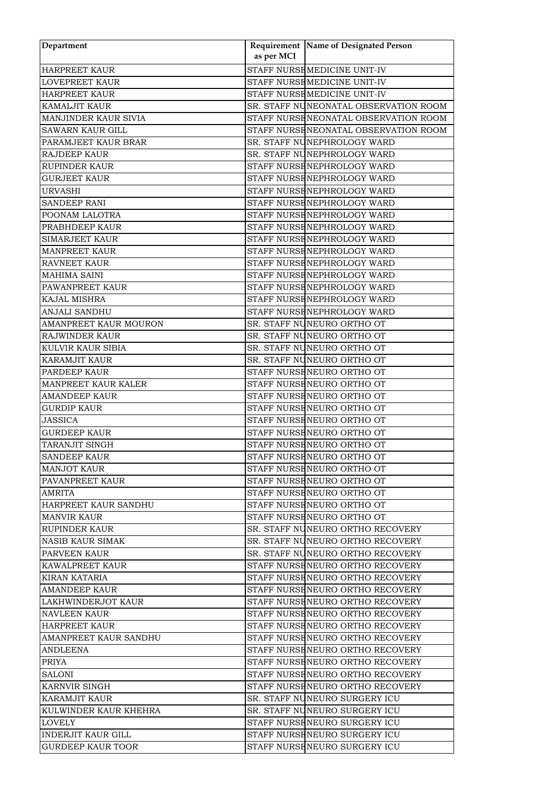| Department                                   | as per MCI | Requirement Name of Designated Person                     |
|----------------------------------------------|------------|-----------------------------------------------------------|
| <b>HARPREET KAUR</b>                         |            | STAFF NURSE MEDICINE UNIT-IV                              |
| <b>LOVEPREET KAUR</b>                        |            | STAFF NURSE MEDICINE UNIT-IV                              |
|                                              |            | STAFF NURSE MEDICINE UNIT-IV                              |
| <b>HARPREET KAUR</b><br><b>KAMALJIT KAUR</b> |            |                                                           |
|                                              |            | SR. STAFF NUNEONATAL OBSERVATION ROOM                     |
| <b>MANJINDER KAUR SIVIA</b>                  |            | STAFF NURSENEONATAL OBSERVATION ROOM                      |
| SAWARN KAUR GILL                             |            | STAFF NURSENEONATAL OBSERVATION ROOM                      |
| PARAMJEET KAUR BRAR                          |            | SR. STAFF NUNEPHROLOGY WARD                               |
| RAJDEEP KAUR                                 |            | SR. STAFF NUNEPHROLOGY WARD                               |
| <b>RUPINDER KAUR</b>                         |            | STAFF NURSENEPHROLOGY WARD<br>STAFF NURSE NEPHROLOGY WARD |
| <b>GURJEET KAUR</b>                          |            |                                                           |
| <b>URVASHI</b>                               |            | STAFF NURSENEPHROLOGY WARD                                |
| <b>SANDEEP RANI</b>                          |            | STAFF NURSENEPHROLOGY WARD                                |
| POONAM LALOTRA                               |            | STAFF NURSENEPHROLOGY WARD                                |
| PRABHDEEP KAUR                               |            | STAFF NURSENEPHROLOGY WARD                                |
| <b>SIMARJEET KAUR</b>                        |            | STAFF NURSE NEPHROLOGY WARD                               |
| <b>MANPREET KAUR</b>                         |            | STAFF NURSE NEPHROLOGY WARD                               |
| RAVNEET KAUR                                 |            | STAFF NURSENEPHROLOGY WARD                                |
| MAHIMA SAINI                                 |            | STAFF NURSENEPHROLOGY WARD                                |
| PAWANPREET KAUR                              |            | STAFF NURSENEPHROLOGY WARD                                |
| <b>KAJAL MISHRA</b>                          |            | STAFF NURSENEPHROLOGY WARD                                |
| <b>ANJALI SANDHU</b>                         |            | STAFF NURSENEPHROLOGY WARD                                |
| AMANPREET KAUR MOURON                        |            | SR. STAFF NUNEURO ORTHO OT                                |
| <b>RAJWINDER KAUR</b>                        |            | SR. STAFF NUNEURO ORTHO OT                                |
| KULVIR KAUR SIBIA                            |            | SR. STAFF NUNEURO ORTHO OT                                |
| <b>KARAMJIT KAUR</b>                         |            | SR. STAFF NUNEURO ORTHO OT                                |
| PARDEEP KAUR                                 |            | STAFF NURSENEURO ORTHO OT                                 |
| MANPREET KAUR KALER                          |            | STAFF NURSENEURO ORTHO OT                                 |
| <b>AMANDEEP KAUR</b>                         |            | STAFF NURSENEURO ORTHO OT                                 |
| <b>GURDIP KAUR</b>                           |            | STAFF NURSENEURO ORTHO OT                                 |
| <b>JASSICA</b>                               |            | STAFF NURSENEURO ORTHO OT                                 |
| <b>GURDEEP KAUR</b>                          |            | STAFF NURSENEURO ORTHO OT                                 |
| TARANJIT SINGH                               |            | STAFF NURSENEURO ORTHO OT                                 |
| SANDEEP KAUR                                 |            | STAFF NURSE NEURO ORTHO OT                                |
| MANJOT KAUR                                  |            | STAFF NURSENEURO ORTHO OT                                 |
| PAVANPREET KAUR                              |            | STAFF NURSENEURO ORTHO OT                                 |
| AMRITA                                       |            | STAFF NURSENEURO ORTHO OT                                 |
| HARPREET KAUR SANDHU                         |            | STAFF NURSENEURO ORTHO OT                                 |
| <b>MANVIR KAUR</b>                           |            | STAFF NURSENEURO ORTHO OT                                 |
| <b>RUPINDER KAUR</b>                         |            | SR. STAFF NUNEURO ORTHO RECOVERY                          |
| <b>NASIB KAUR SIMAK</b>                      |            | SR. STAFF NUNEURO ORTHO RECOVERY                          |
| PARVEEN KAUR                                 |            | SR. STAFF NUNEURO ORTHO RECOVERY                          |
| KAWALPREET KAUR                              |            | STAFF NURSENEURO ORTHO RECOVERY                           |
| KIRAN KATARIA                                |            | STAFF NURSENEURO ORTHO RECOVERY                           |
| <b>AMANDEEP KAUR</b>                         |            | STAFF NURSENEURO ORTHO RECOVERY                           |
| LAKHWINDERJOT KAUR                           |            | STAFF NURSENEURO ORTHO RECOVERY                           |
| <b>NAVLEEN KAUR</b>                          |            | STAFF NURSENEURO ORTHO RECOVERY                           |
| <b>HARPREET KAUR</b>                         |            | STAFF NURSENEURO ORTHO RECOVERY                           |
| AMANPREET KAUR SANDHU                        |            | STAFF NURSENEURO ORTHO RECOVERY                           |
| ANDLEENA                                     |            | STAFF NURSENEURO ORTHO RECOVERY                           |
| <b>PRIYA</b>                                 |            | STAFF NURSENEURO ORTHO RECOVERY                           |
| <b>SALONI</b>                                |            | STAFF NURSENEURO ORTHO RECOVERY                           |
| KARNVIR SINGH                                |            | STAFF NURSENEURO ORTHO RECOVERY                           |
| <b>KARAMJIT KAUR</b>                         |            | SR. STAFF NUNEURO SURGERY ICU                             |
| KULWINDER KAUR KHEHRA                        |            | SR. STAFF NUNEURO SURGERY ICU                             |
| LOVELY                                       |            | STAFF NURSENEURO SURGERY ICU                              |
| <b>INDERJIT KAUR GILL</b>                    |            | STAFF NURSENEURO SURGERY ICU                              |
| <b>GURDEEP KAUR TOOR</b>                     |            | STAFF NURSENEURO SURGERY ICU                              |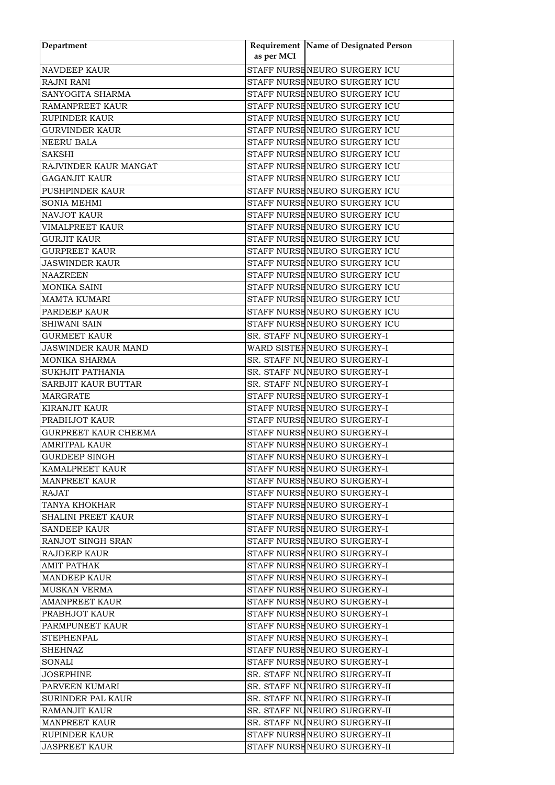| Department                  | as per MCI | Requirement Name of Designated Person |
|-----------------------------|------------|---------------------------------------|
| <b>NAVDEEP KAUR</b>         |            | STAFF NURSENEURO SURGERY ICU          |
| <b>RAJNI RANI</b>           |            | STAFF NURSE NEURO SURGERY ICU         |
| SANYOGITA SHARMA            |            | STAFF NURSENEURO SURGERY ICU          |
| <b>RAMANPREET KAUR</b>      |            | STAFF NURSENEURO SURGERY ICU          |
| RUPINDER KAUR               |            | STAFF NURSENEURO SURGERY ICU          |
| <b>GURVINDER KAUR</b>       |            | STAFF NURSENEURO SURGERY ICU          |
| <b>NEERU BALA</b>           |            | STAFF NURSENEURO SURGERY ICU          |
| <b>SAKSHI</b>               |            | STAFF NURSENEURO SURGERY ICU          |
| RAJVINDER KAUR MANGAT       |            | STAFF NURSENEURO SURGERY ICU          |
| <b>GAGANJIT KAUR</b>        |            | STAFF NURSENEURO SURGERY ICU          |
| <b>PUSHPINDER KAUR</b>      |            | STAFF NURSENEURO SURGERY ICU          |
| <b>SONIA MEHMI</b>          |            | STAFF NURSENEURO SURGERY ICU          |
| <b>NAVJOT KAUR</b>          |            | STAFF NURSENEURO SURGERY ICU          |
| <b>VIMALPREET KAUR</b>      |            | STAFF NURSENEURO SURGERY ICU          |
| <b>GURJIT KAUR</b>          |            | STAFF NURSENEURO SURGERY ICU          |
| <b>GURPREET KAUR</b>        |            | STAFF NURSENEURO SURGERY ICU          |
| <b>JASWINDER KAUR</b>       |            | STAFF NURSENEURO SURGERY ICU          |
| <b>NAAZREEN</b>             |            | STAFF NURSENEURO SURGERY ICU          |
| <b>MONIKA SAINI</b>         |            | STAFF NURSENEURO SURGERY ICU          |
| <b>MAMTA KUMARI</b>         |            | STAFF NURSENEURO SURGERY ICU          |
| <b>PARDEEP KAUR</b>         |            | STAFF NURSENEURO SURGERY ICU          |
| <b>SHIWANI SAIN</b>         |            | STAFF NURSENEURO SURGERY ICU          |
| <b>GURMEET KAUR</b>         |            | SR. STAFF NUNEURO SURGERY-I           |
| JASWINDER KAUR MAND         |            | WARD SISTER NEURO SURGERY-I           |
|                             |            |                                       |
| <b>MONIKA SHARMA</b>        |            | SR. STAFF NUNEURO SURGERY-I           |
| <b>SUKHJIT PATHANIA</b>     |            | SR. STAFF NUNEURO SURGERY-I           |
| SARBJIT KAUR BUTTAR         |            | SR. STAFF NUNEURO SURGERY-I           |
| <b>MARGRATE</b>             |            | STAFF NURSENEURO SURGERY-I            |
| <b>KIRANJIT KAUR</b>        |            | STAFF NURSENEURO SURGERY-I            |
| PRABHJOT KAUR               |            | STAFF NURSENEURO SURGERY-I            |
| <b>GURPREET KAUR CHEEMA</b> |            | STAFF NURSENEURO SURGERY-I            |
| <b>AMRITPAL KAUR</b>        |            | STAFF NURSENEURO SURGERY-I            |
| <b>GURDEEP SINGH</b>        |            | STAFF NURSENEURO SURGERY-I            |
| KAMALPREET KAUR             |            | STAFF NURSENEURO SURGERY-I            |
| <b>MANPREET KAUR</b>        |            | STAFF NURSENEURO SURGERY-I            |
| <b>RAJAT</b>                |            | STAFF NURSHNEURO SURGERY-I            |
| <b>TANYA KHOKHAR</b>        |            | STAFF NURSENEURO SURGERY-I            |
| <b>SHALINI PREET KAUR</b>   |            | STAFF NURSENEURO SURGERY-I            |
| <b>SANDEEP KAUR</b>         |            | STAFF NURSENEURO SURGERY-I            |
| <b>RANJOT SINGH SRAN</b>    |            | STAFF NURSHNEURO SURGERY-I            |
| <b>RAJDEEP KAUR</b>         |            | STAFF NURSENEURO SURGERY-I            |
| <b>AMIT PATHAK</b>          |            | STAFF NURSENEURO SURGERY-I            |
| <b>MANDEEP KAUR</b>         |            | STAFF NURSENEURO SURGERY-I            |
| <b>MUSKAN VERMA</b>         |            | STAFF NURSENEURO SURGERY-I            |
| <b>AMANPREET KAUR</b>       |            | STAFF NURSENEURO SURGERY-I            |
| PRABHJOT KAUR               |            | STAFF NURSENEURO SURGERY-I            |
| PARMPUNEET KAUR             |            | STAFF NURSENEURO SURGERY-I            |
| <b>STEPHENPAL</b>           |            | STAFF NURSENEURO SURGERY-I            |
| <b>SHEHNAZ</b>              |            | STAFF NURSENEURO SURGERY-I            |
| SONALI                      |            | STAFF NURSENEURO SURGERY-I            |
| <b>JOSEPHINE</b>            |            | SR. STAFF NUNEURO SURGERY-II          |
| PARVEEN KUMARI              |            | SR. STAFF NUNEURO SURGERY-II          |
| SURINDER PAL KAUR           |            | SR. STAFF NUNEURO SURGERY-II          |
| <b>RAMANJIT KAUR</b>        |            | SR. STAFF NUNEURO SURGERY-II          |
| <b>MANPREET KAUR</b>        |            | SR. STAFF NUNEURO SURGERY-II          |
| <b>RUPINDER KAUR</b>        |            | STAFF NURSENEURO SURGERY-II           |
| <b>JASPREET KAUR</b>        |            | STAFF NURSENEURO SURGERY-II           |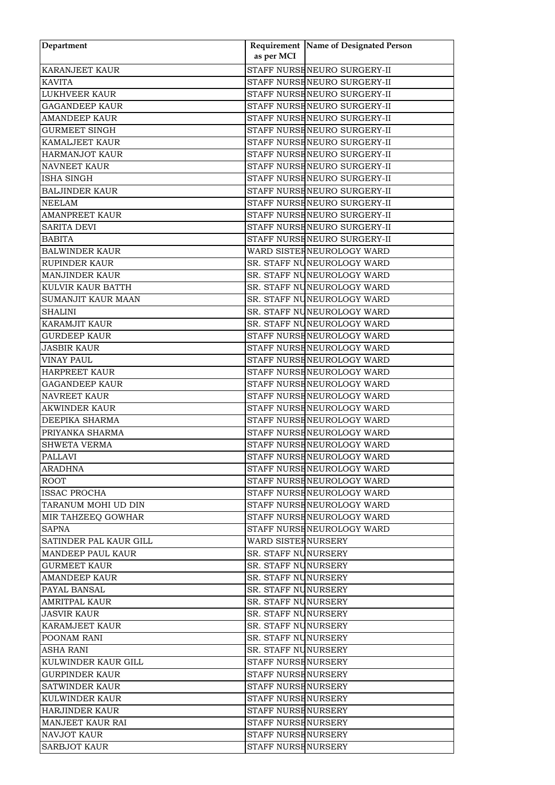| Department                                  |                                            | Requirement Name of Designated Person |
|---------------------------------------------|--------------------------------------------|---------------------------------------|
|                                             | as per MCI                                 |                                       |
| <b>KARANJEET KAUR</b>                       |                                            | STAFF NURSENEURO SURGERY-II           |
| <b>KAVITA</b>                               |                                            | STAFF NURSENEURO SURGERY-II           |
| <b>LUKHVEER KAUR</b>                        |                                            | STAFF NURSENEURO SURGERY-II           |
| <b>GAGANDEEP KAUR</b>                       |                                            | STAFF NURSENEURO SURGERY-II           |
| <b>AMANDEEP KAUR</b>                        |                                            | STAFF NURSENEURO SURGERY-II           |
| <b>GURMEET SINGH</b>                        |                                            | STAFF NURSENEURO SURGERY-II           |
| <b>KAMALJEET KAUR</b>                       |                                            | STAFF NURSENEURO SURGERY-II           |
| <b>HARMANJOT KAUR</b>                       |                                            | STAFF NURSENEURO SURGERY-II           |
| <b>NAVNEET KAUR</b>                         |                                            | STAFF NURSENEURO SURGERY-II           |
| <b>ISHA SINGH</b>                           |                                            | STAFF NURSENEURO SURGERY-II           |
| <b>BALJINDER KAUR</b>                       |                                            | STAFF NURSENEURO SURGERY-II           |
| <b>NEELAM</b>                               |                                            | STAFF NURSENEURO SURGERY-II           |
| <b>AMANPREET KAUR</b>                       |                                            | STAFF NURSENEURO SURGERY-II           |
| <b>SARITA DEVI</b>                          |                                            | STAFF NURSENEURO SURGERY-II           |
| <b>BABITA</b>                               |                                            | STAFF NURSENEURO SURGERY-II           |
| <b>BALWINDER KAUR</b>                       |                                            | WARD SISTER NEUROLOGY WARD            |
| RUPINDER KAUR                               |                                            | SR. STAFF NUNEUROLOGY WARD            |
| <b>MANJINDER KAUR</b>                       |                                            | SR. STAFF NUNEUROLOGY WARD            |
| KULVIR KAUR BATTH                           |                                            | SR. STAFF NUNEUROLOGY WARD            |
| <b>SUMANJIT KAUR MAAN</b>                   |                                            | SR. STAFF NUNEUROLOGY WARD            |
| <b>SHALINI</b>                              |                                            | SR. STAFF NUNEUROLOGY WARD            |
| <b>KARAMJIT KAUR</b>                        |                                            | SR. STAFF NUNEUROLOGY WARD            |
| <b>GURDEEP KAUR</b>                         |                                            | STAFF NURSE NEUROLOGY WARD            |
| <b>JASBIR KAUR</b>                          |                                            | STAFF NURSE NEUROLOGY WARD            |
| <b>VINAY PAUL</b>                           |                                            | STAFF NURSE NEUROLOGY WARD            |
| <b>HARPREET KAUR</b>                        |                                            | STAFF NURSE NEUROLOGY WARD            |
| <b>GAGANDEEP KAUR</b>                       |                                            | STAFF NURSE NEUROLOGY WARD            |
| <b>NAVREET KAUR</b>                         |                                            | STAFF NURSE NEUROLOGY WARD            |
| <b>AKWINDER KAUR</b>                        |                                            | STAFF NURSE NEUROLOGY WARD            |
| DEEPIKA SHARMA                              |                                            | STAFF NURSE NEUROLOGY WARD            |
| PRIYANKA SHARMA                             |                                            | STAFF NURSENEUROLOGY WARD             |
| <b>SHWETA VERMA</b>                         |                                            | STAFF NURSENEUROLOGY WARD             |
| <b>PALLAVI</b>                              |                                            | STAFF NURSENEUROLOGY WARD             |
| ARADHNA                                     |                                            | STAFF NURSENEUROLOGY WARD             |
| <b>ROOT</b>                                 |                                            | STAFF NURSENEUROLOGY WARD             |
| <b>ISSAC PROCHA</b>                         |                                            | STAFF NURSENEUROLOGY WARD             |
| TARANUM MOHI UD DIN                         |                                            | STAFF NURSENEUROLOGY WARD             |
| MIR TAHZEEQ GOWHAR                          |                                            | STAFF NURSENEUROLOGY WARD             |
| <b>SAPNA</b>                                |                                            | STAFF NURSENEUROLOGY WARD             |
| SATINDER PAL KAUR GILL                      | WARD SISTERNURSERY                         |                                       |
| <b>MANDEEP PAUL KAUR</b>                    | SR. STAFF NUNURSERY                        |                                       |
| <b>GURMEET KAUR</b>                         | SR. STAFF NUNURSERY                        |                                       |
| AMANDEEP KAUR                               | SR. STAFF NUNURSERY                        |                                       |
| <b>PAYAL BANSAL</b>                         | SR. STAFF NUNURSERY<br>SR. STAFF NUNURSERY |                                       |
| <b>AMRITPAL KAUR</b>                        |                                            |                                       |
| <b>JASVIR KAUR</b><br><b>KARAMJEET KAUR</b> | SR. STAFF NUNURSERY                        |                                       |
| POONAM RANI                                 | SR. STAFF NUNURSERY<br>SR. STAFF NUNURSERY |                                       |
|                                             |                                            |                                       |
| ASHA RANI<br>KULWINDER KAUR GILL            | SR. STAFF NUNURSERY<br>STAFF NURSENURSERY  |                                       |
| <b>GURPINDER KAUR</b>                       | STAFF NURSENURSERY                         |                                       |
| <b>SATWINDER KAUR</b>                       | STAFF NURSENURSERY                         |                                       |
| <b>KULWINDER KAUR</b>                       | STAFF NURSENURSERY                         |                                       |
| <b>HARJINDER KAUR</b>                       | STAFF NURSENURSERY                         |                                       |
| <b>MANJEET KAUR RAI</b>                     | STAFF NURSENURSERY                         |                                       |
| <b>NAVJOT KAUR</b>                          | STAFF NURSENURSERY                         |                                       |
| <b>SARBJOT KAUR</b>                         | STAFF NURSENURSERY                         |                                       |
|                                             |                                            |                                       |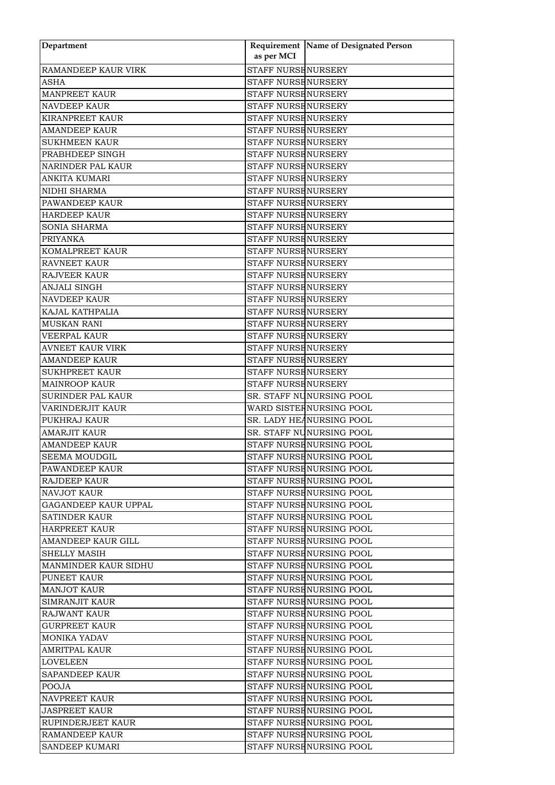| Department                          | as per MCI                                               | Requirement Name of Designated Person |
|-------------------------------------|----------------------------------------------------------|---------------------------------------|
| RAMANDEEP KAUR VIRK                 | <b>STAFF NURSE NURSERY</b>                               |                                       |
|                                     |                                                          |                                       |
| <b>ASHA</b><br><b>MANPREET KAUR</b> | <b>STAFF NURSE NURSERY</b><br><b>STAFF NURSE NURSERY</b> |                                       |
|                                     |                                                          |                                       |
| <b>NAVDEEP KAUR</b>                 | <b>STAFF NURSE NURSERY</b>                               |                                       |
| KIRANPREET KAUR                     | <b>STAFF NURSE NURSERY</b>                               |                                       |
| <b>AMANDEEP KAUR</b>                | STAFF NURSE NURSERY                                      |                                       |
| <b>SUKHMEEN KAUR</b>                | <b>STAFF NURSE NURSERY</b>                               |                                       |
| PRABHDEEP SINGH                     | <b>STAFF NURSE NURSERY</b>                               |                                       |
| <b>NARINDER PAL KAUR</b>            | <b>STAFF NURSE NURSERY</b>                               |                                       |
| <b>ANKITA KUMARI</b>                | <b>STAFF NURSE NURSERY</b>                               |                                       |
| NIDHI SHARMA                        | <b>STAFF NURSE NURSERY</b>                               |                                       |
| PAWANDEEP KAUR                      | <b>STAFF NURSE NURSERY</b>                               |                                       |
| <b>HARDEEP KAUR</b>                 | <b>STAFF NURSE NURSERY</b>                               |                                       |
| SONIA SHARMA                        | <b>STAFF NURSE NURSERY</b>                               |                                       |
| <b>PRIYANKA</b>                     | <b>STAFF NURSE NURSERY</b>                               |                                       |
| KOMALPREET KAUR                     | <b>STAFF NURSE NURSERY</b>                               |                                       |
| <b>RAVNEET KAUR</b>                 | <b>STAFF NURSE NURSERY</b>                               |                                       |
| <b>RAJVEER KAUR</b>                 | <b>STAFF NURSE NURSERY</b>                               |                                       |
| ANJALI SINGH                        | <b>STAFF NURSE NURSERY</b>                               |                                       |
| <b>NAVDEEP KAUR</b>                 | <b>STAFF NURSE NURSERY</b>                               |                                       |
| KAJAL KATHPALIA                     | <b>STAFF NURSENURSERY</b>                                |                                       |
| <b>MUSKAN RANI</b>                  | <b>STAFF NURSE NURSERY</b>                               |                                       |
| <b>VEERPAL KAUR</b>                 | <b>STAFF NURSE NURSERY</b>                               |                                       |
| <b>AVNEET KAUR VIRK</b>             | <b>STAFF NURSE NURSERY</b>                               |                                       |
| <b>AMANDEEP KAUR</b>                | <b>STAFF NURSE NURSERY</b>                               |                                       |
| <b>SUKHPREET KAUR</b>               | <b>STAFF NURSE NURSERY</b>                               |                                       |
| <b>MAINROOP KAUR</b>                | <b>STAFF NURSE NURSERY</b>                               |                                       |
| SURINDER PAL KAUR                   |                                                          | SR. STAFF NUNURSING POOL              |
| VARINDERJIT KAUR                    |                                                          | WARD SISTER NURSING POOL              |
| PUKHRAJ KAUR                        |                                                          | SR. LADY HEANURSING POOL              |
| <b>AMARJIT KAUR</b>                 |                                                          | SR. STAFF NUNURSING POOL              |
| <b>AMANDEEP KAUR</b>                |                                                          | STAFF NURSENURSING POOL               |
| <b>SEEMA MOUDGIL</b>                |                                                          | STAFF NURSE NURSING POOL              |
| PAWANDEEP KAUR                      |                                                          | STAFF NURSENURSING POOL               |
| RAJDEEP KAUR                        |                                                          | STAFF NURSENURSING POOL               |
| <b>NAVJOT KAUR</b>                  |                                                          | STAFF NURSENURSING POOL               |
| <b>GAGANDEEP KAUR UPPAL</b>         |                                                          | STAFF NURSENURSING POOL               |
| SATINDER KAUR                       |                                                          | STAFF NURSENURSING POOL               |
| <b>HARPREET KAUR</b>                |                                                          | STAFF NURSENURSING POOL               |
| AMANDEEP KAUR GILL                  |                                                          | STAFF NURSENURSING POOL               |
| <b>SHELLY MASIH</b>                 |                                                          | STAFF NURSENURSING POOL               |
| <b>MANMINDER KAUR SIDHU</b>         |                                                          | STAFF NURSENURSING POOL               |
| PUNEET KAUR                         |                                                          | STAFF NURSENURSING POOL               |
| <b>MANJOT KAUR</b>                  |                                                          | STAFF NURSENURSING POOL               |
| SIMRANJIT KAUR                      |                                                          | STAFF NURSENURSING POOL               |
| <b>RAJWANT KAUR</b>                 |                                                          | STAFF NURSENURSING POOL               |
| <b>GURPREET KAUR</b>                |                                                          | STAFF NURSENURSING POOL               |
|                                     |                                                          | STAFF NURSENURSING POOL               |
| MONIKA YADAV                        |                                                          |                                       |
| AMRITPAL KAUR                       |                                                          | STAFF NURSENURSING POOL               |
| LOVELEEN                            |                                                          | STAFF NURSENURSING POOL               |
| <b>SAPANDEEP KAUR</b>               |                                                          | STAFF NURSENURSING POOL               |
| <b>POOJA</b>                        |                                                          | STAFF NURSENURSING POOL               |
| <b>NAVPREET KAUR</b>                |                                                          | STAFF NURSENURSING POOL               |
| <b>JASPREET KAUR</b>                |                                                          | STAFF NURSENURSING POOL               |
| RUPINDERJEET KAUR                   |                                                          | STAFF NURSENURSING POOL               |
| RAMANDEEP KAUR                      |                                                          | STAFF NURSENURSING POOL               |
| <b>SANDEEP KUMARI</b>               |                                                          | STAFF NURSENURSING POOL               |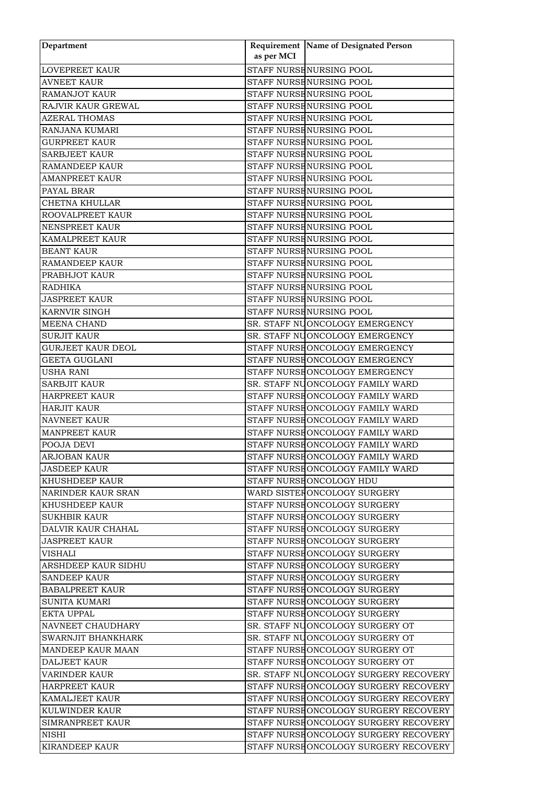| Department               |            | Requirement Name of Designated Person |
|--------------------------|------------|---------------------------------------|
|                          | as per MCI |                                       |
| <b>LOVEPREET KAUR</b>    |            | STAFF NURSENURSING POOL               |
| <b>AVNEET KAUR</b>       |            | STAFF NURSENURSING POOL               |
| <b>RAMANJOT KAUR</b>     |            | STAFF NURSENURSING POOL               |
| RAJVIR KAUR GREWAL       |            | STAFF NURSE NURSING POOL              |
| AZERAL THOMAS            |            | STAFF NURSENURSING POOL               |
| RANJANA KUMARI           |            | STAFF NURSENURSING POOL               |
| <b>GURPREET KAUR</b>     |            | STAFF NURSENURSING POOL               |
| <b>SARBJEET KAUR</b>     |            | STAFF NURSENURSING POOL               |
| <b>RAMANDEEP KAUR</b>    |            | STAFF NURSENURSING POOL               |
| AMANPREET KAUR           |            | STAFF NURSENURSING POOL               |
| PAYAL BRAR               |            | STAFF NURSE NURSING POOL              |
| CHETNA KHULLAR           |            | STAFF NURSENURSING POOL               |
| ROOVALPREET KAUR         |            | STAFF NURSENURSING POOL               |
| <b>NENSPREET KAUR</b>    |            | STAFF NURSENURSING POOL               |
| KAMALPREET KAUR          |            | STAFF NURSENURSING POOL               |
| <b>BEANT KAUR</b>        |            | STAFF NURSENURSING POOL               |
| RAMANDEEP KAUR           |            | STAFF NURSE NURSING POOL              |
| PRABHJOT KAUR            |            | STAFF NURSENURSING POOL               |
| <b>RADHIKA</b>           |            | STAFF NURSENURSING POOL               |
| <b>JASPREET KAUR</b>     |            | STAFF NURSENURSING POOL               |
| <b>KARNVIR SINGH</b>     |            | STAFF NURSENURSING POOL               |
| <b>MEENA CHAND</b>       |            | SR. STAFF NUONCOLOGY EMERGENCY        |
| <b>SURJIT KAUR</b>       |            | SR. STAFF NUONCOLOGY EMERGENCY        |
| <b>GURJEET KAUR DEOL</b> |            | STAFF NURSE ONCOLOGY EMERGENCY        |
| <b>GEETA GUGLANI</b>     |            | STAFF NURSE ONCOLOGY EMERGENCY        |
| <b>USHA RANI</b>         |            | STAFF NURSE ONCOLOGY EMERGENCY        |
| <b>SARBJIT KAUR</b>      |            | SR. STAFF NUONCOLOGY FAMILY WARD      |
| <b>HARPREET KAUR</b>     |            | STAFF NURSE ONCOLOGY FAMILY WARD      |
| <b>HARJIT KAUR</b>       |            | STAFF NURSE ONCOLOGY FAMILY WARD      |
| <b>NAVNEET KAUR</b>      |            | STAFF NURSE ONCOLOGY FAMILY WARD      |
| <b>MANPREET KAUR</b>     |            | STAFF NURSE ONCOLOGY FAMILY WARD      |
| POOJA DEVI               |            | STAFF NURSE ONCOLOGY FAMILY WARD      |
| <b>ARJOBAN KAUR</b>      |            | STAFF NURSEONCOLOGY FAMILY WARD       |
| <b>JASDEEP KAUR</b>      |            | STAFF NURSE ONCOLOGY FAMILY WARD      |
| <b>KHUSHDEEP KAUR</b>    |            | STAFF NURSE ONCOLOGY HDU              |
| NARINDER KAUR SRAN       |            | WARD SISTER ONCOLOGY SURGERY          |
| <b>KHUSHDEEP KAUR</b>    |            | STAFF NURSEONCOLOGY SURGERY           |
| <b>SUKHBIR KAUR</b>      |            | STAFF NURSEONCOLOGY SURGERY           |
| DALVIR KAUR CHAHAL       |            | STAFF NURSEONCOLOGY SURGERY           |
| <b>JASPREET KAUR</b>     |            | STAFF NURSEONCOLOGY SURGERY           |
| VISHALI                  |            | STAFF NURSHONCOLOGY SURGERY           |
| ARSHDEEP KAUR SIDHU      |            | STAFF NURSEONCOLOGY SURGERY           |
| <b>SANDEEP KAUR</b>      |            | STAFF NURSHONCOLOGY SURGERY           |
| <b>BABALPREET KAUR</b>   |            | STAFF NURSEONCOLOGY SURGERY           |
| <b>SUNITA KUMARI</b>     |            | STAFF NURSEONCOLOGY SURGERY           |
| EKTA UPPAL               |            | STAFF NURSEONCOLOGY SURGERY           |
| NAVNEET CHAUDHARY        |            | SR. STAFF NUONCOLOGY SURGERY OT       |
| SWARNJIT BHANKHARK       |            | SR. STAFF NUONCOLOGY SURGERY OT       |
| <b>MANDEEP KAUR MAAN</b> |            | STAFF NURSEONCOLOGY SURGERY OT        |
| <b>DALJEET KAUR</b>      |            | STAFF NURSEONCOLOGY SURGERY OT        |
| <b>VARINDER KAUR</b>     |            | SR. STAFF NUONCOLOGY SURGERY RECOVERY |
| HARPREET KAUR            |            | STAFF NURSHONCOLOGY SURGERY RECOVERY  |
| <b>KAMALJEET KAUR</b>    |            | STAFF NURSEONCOLOGY SURGERY RECOVERY  |
| <b>KULWINDER KAUR</b>    |            | STAFF NURSHONCOLOGY SURGERY RECOVERY  |
| SIMRANPREET KAUR         |            | STAFF NURSHONCOLOGY SURGERY RECOVERY  |
| <b>NISHI</b>             |            | STAFF NURSEONCOLOGY SURGERY RECOVERY  |
| <b>KIRANDEEP KAUR</b>    |            | STAFF NURSEONCOLOGY SURGERY RECOVERY  |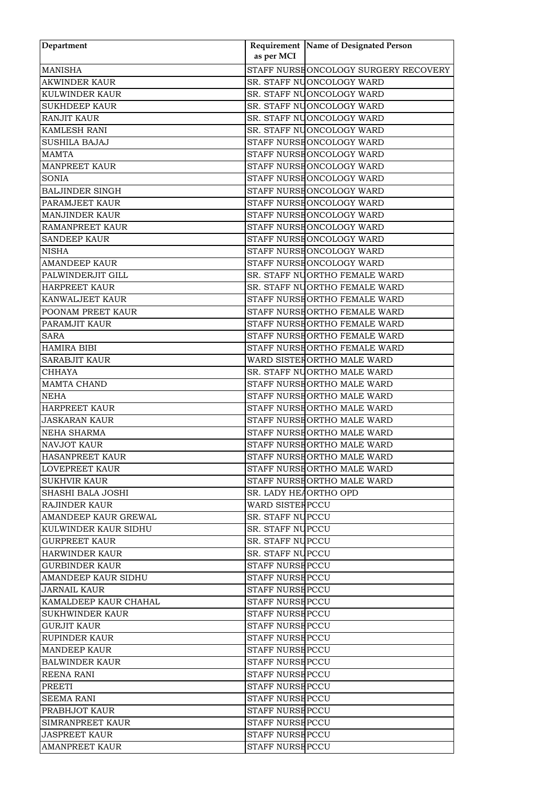| Department              | as per MCI              | Requirement Name of Designated Person |
|-------------------------|-------------------------|---------------------------------------|
| <b>MANISHA</b>          |                         | STAFF NURSEONCOLOGY SURGERY RECOVERY  |
| <b>AKWINDER KAUR</b>    |                         | SR. STAFF NUONCOLOGY WARD             |
| <b>KULWINDER KAUR</b>   |                         | SR. STAFF NUONCOLOGY WARD             |
| <b>SUKHDEEP KAUR</b>    |                         | SR. STAFF NUONCOLOGY WARD             |
| <b>RANJIT KAUR</b>      |                         | SR. STAFF NUONCOLOGY WARD             |
| <b>KAMLESH RANI</b>     |                         | SR. STAFF NUONCOLOGY WARD             |
| <b>SUSHILA BAJAJ</b>    |                         | STAFF NURSE ONCOLOGY WARD             |
| <b>MAMTA</b>            |                         | STAFF NURSE ONCOLOGY WARD             |
| <b>MANPREET KAUR</b>    |                         | STAFF NURSE ONCOLOGY WARD             |
| <b>SONIA</b>            |                         | STAFF NURSE ONCOLOGY WARD             |
| <b>BALJINDER SINGH</b>  |                         | STAFF NURSE ONCOLOGY WARD             |
| PARAMJEET KAUR          |                         | STAFF NURSHONCOLOGY WARD              |
| <b>MANJINDER KAUR</b>   |                         | STAFF NURSE ONCOLOGY WARD             |
| <b>RAMANPREET KAUR</b>  |                         | STAFF NURSE ONCOLOGY WARD             |
| <b>SANDEEP KAUR</b>     |                         | STAFF NURSE ONCOLOGY WARD             |
| <b>NISHA</b>            |                         | STAFF NURSE ONCOLOGY WARD             |
| <b>AMANDEEP KAUR</b>    |                         | STAFF NURSE ONCOLOGY WARD             |
| PALWINDERJIT GILL       |                         | SR. STAFF NUORTHO FEMALE WARD         |
| <b>HARPREET KAUR</b>    |                         | SR. STAFF NUORTHO FEMALE WARD         |
| <b>KANWALJEET KAUR</b>  |                         | STAFF NURSEORTHO FEMALE WARD          |
| POONAM PREET KAUR       |                         | STAFF NURSE ORTHO FEMALE WARD         |
| PARAMJIT KAUR           |                         | STAFF NURSE ORTHO FEMALE WARD         |
| <b>SARA</b>             |                         | STAFF NURSE ORTHO FEMALE WARD         |
| <b>HAMIRA BIBI</b>      |                         | STAFF NURSHORTHO FEMALE WARD          |
| <b>SARABJIT KAUR</b>    |                         | WARD SISTER ORTHO MALE WARD           |
| <b>CHHAYA</b>           |                         | SR. STAFF NUORTHO MALE WARD           |
| MAMTA CHAND             |                         | STAFF NURSE ORTHO MALE WARD           |
| <b>NEHA</b>             |                         | STAFF NURSE ORTHO MALE WARD           |
| <b>HARPREET KAUR</b>    |                         | STAFF NURSE ORTHO MALE WARD           |
| <b>JASKARAN KAUR</b>    |                         | STAFF NURSEORTHO MALE WARD            |
| NEHA SHARMA             |                         | STAFF NURSEORTHO MALE WARD            |
| <b>NAVJOT KAUR</b>      |                         | STAFF NURSE ORTHO MALE WARD           |
| <b>HASANPREET KAUR</b>  |                         | STAFF NURSE ORTHO MALE WARD           |
| LOVEPREET KAUR          |                         | STAFF NURSEORTHO MALE WARD            |
| <b>SUKHVIR KAUR</b>     |                         | STAFF NURSE ORTHO MALE WARD           |
| ISHASHI BALA JOSHI      | SR. LADY HEAORTHO OPD   |                                       |
| RAJINDER KAUR           | WARD SISTER PCCU        |                                       |
| AMANDEEP KAUR GREWAL    | <b>SR. STAFF NUPCCU</b> |                                       |
| KULWINDER KAUR SIDHU    | SR. STAFF NUPCCU        |                                       |
| <b>GURPREET KAUR</b>    | <b>SR. STAFF NUPCCU</b> |                                       |
| HARWINDER KAUR          | <b>SR. STAFF NUPCCU</b> |                                       |
| <b>GURBINDER KAUR</b>   | <b>STAFF NURSE PCCU</b> |                                       |
| AMANDEEP KAUR SIDHU     | <b>STAFF NURSEPCCU</b>  |                                       |
| JARNAIL KAUR            | <b>STAFF NURSE PCCU</b> |                                       |
| KAMALDEEP KAUR CHAHAL   | <b>STAFF NURSE PCCU</b> |                                       |
| SUKHWINDER KAUR         | <b>STAFF NURSE PCCU</b> |                                       |
| <b>GURJIT KAUR</b>      | STAFF NURSE PCCU        |                                       |
| RUPINDER KAUR           | <b>STAFF NURSE PCCU</b> |                                       |
| <b>MANDEEP KAUR</b>     | <b>STAFF NURSE PCCU</b> |                                       |
| <b>BALWINDER KAUR</b>   | STAFF NURSEPCCU         |                                       |
| <b>REENA RANI</b>       | <b>STAFF NURSE PCCU</b> |                                       |
| PREETI                  | <b>STAFF NURSE PCCU</b> |                                       |
| <b>SEEMA RANI</b>       | <b>STAFF NURSE PCCU</b> |                                       |
| <b>PRABHJOT KAUR</b>    | <b>STAFF NURSE PCCU</b> |                                       |
| <b>SIMRANPREET KAUR</b> | <b>STAFF NURSE PCCU</b> |                                       |
| <b>JASPREET KAUR</b>    | <b>STAFF NURSE PCCU</b> |                                       |
| <b>AMANPREET KAUR</b>   | <b>STAFF NURSE PCCU</b> |                                       |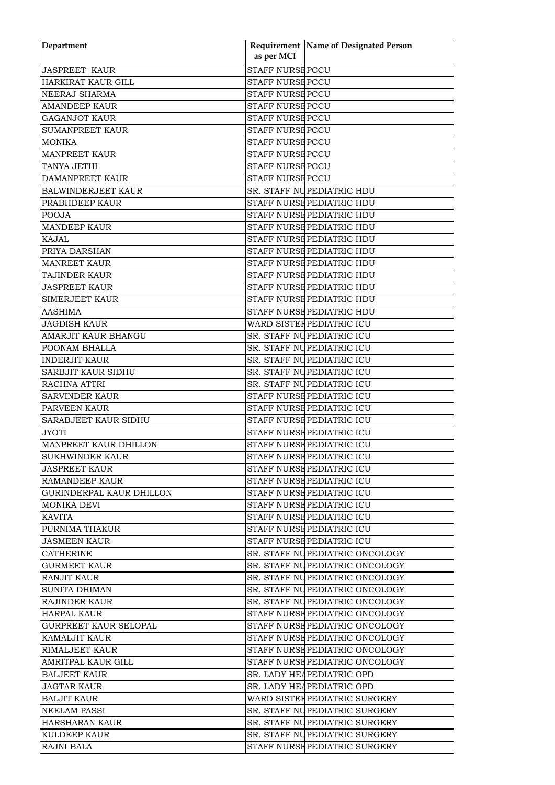| Department                      |                         | <b>Requirement Name of Designated Person</b> |
|---------------------------------|-------------------------|----------------------------------------------|
|                                 | as per MCI              |                                              |
| <b>JASPREET KAUR</b>            | <b>STAFF NURSE PCCU</b> |                                              |
| <b>HARKIRAT KAUR GILL</b>       | <b>STAFF NURSE PCCU</b> |                                              |
| <b>NEERAJ SHARMA</b>            | <b>STAFF NURSE PCCU</b> |                                              |
| <b>AMANDEEP KAUR</b>            | <b>STAFF NURSE PCCU</b> |                                              |
| <b>GAGANJOT KAUR</b>            | <b>STAFF NURSE PCCU</b> |                                              |
| <b>SUMANPREET KAUR</b>          | <b>STAFF NURSE PCCU</b> |                                              |
| <b>MONIKA</b>                   | <b>STAFF NURSE PCCU</b> |                                              |
| <b>MANPREET KAUR</b>            | <b>STAFF NURSE PCCU</b> |                                              |
| TANYA JETHI                     | <b>STAFF NURSE PCCU</b> |                                              |
| <b>DAMANPREET KAUR</b>          | <b>STAFF NURSE PCCU</b> |                                              |
| <b>BALWINDERJEET KAUR</b>       |                         | SR. STAFF NUPEDIATRIC HDU                    |
| PRABHDEEP KAUR                  |                         | STAFF NURSE PEDIATRIC HDU                    |
| <b>POOJA</b>                    |                         | STAFF NURSE PEDIATRIC HDU                    |
| <b>MANDEEP KAUR</b>             |                         | STAFF NURSE PEDIATRIC HDU                    |
| <b>KAJAL</b>                    |                         | STAFF NURSE PEDIATRIC HDU                    |
| PRIYA DARSHAN                   |                         | STAFF NURSE PEDIATRIC HDU                    |
| <b>MANREET KAUR</b>             |                         | STAFF NURSE PEDIATRIC HDU                    |
| TAJINDER KAUR                   |                         | STAFF NURSE PEDIATRIC HDU                    |
| <b>JASPREET KAUR</b>            |                         | STAFF NURSE PEDIATRIC HDU                    |
| <b>SIMERJEET KAUR</b>           |                         | STAFF NURSE PEDIATRIC HDU                    |
| <b>AASHIMA</b>                  |                         | STAFF NURSE PEDIATRIC HDU                    |
| <b>JAGDISH KAUR</b>             |                         | WARD SISTER PEDIATRIC ICU                    |
| <b>AMARJIT KAUR BHANGU</b>      |                         | SR. STAFF NUPEDIATRIC ICU                    |
| POONAM BHALLA                   |                         | SR. STAFF NUPEDIATRIC ICU                    |
| <b>INDERJIT KAUR</b>            |                         | SR. STAFF NUPEDIATRIC ICU                    |
| <b>SARBJIT KAUR SIDHU</b>       |                         | SR. STAFF NUPEDIATRIC ICU                    |
| RACHNA ATTRI                    |                         | SR. STAFF NUPEDIATRIC ICU                    |
| <b>SARVINDER KAUR</b>           |                         | STAFF NURSE PEDIATRIC ICU                    |
| PARVEEN KAUR                    |                         | STAFF NURSE PEDIATRIC ICU                    |
| SARABJEET KAUR SIDHU            |                         | STAFF NURSE PEDIATRIC ICU                    |
| <b>JYOTI</b>                    |                         | STAFF NURSE PEDIATRIC ICU                    |
| MANPREET KAUR DHILLON           |                         | STAFF NURSE PEDIATRIC ICU                    |
| <b>SUKHWINDER KAUR</b>          |                         | STAFF NURSE PEDIATRIC ICU                    |
| <b>JASPREET KAUR</b>            |                         | STAFF NURSE PEDIATRIC ICU                    |
| <b>RAMANDEEP KAUR</b>           |                         | STAFF NURSE PEDIATRIC ICU                    |
| <b>GURINDERPAL KAUR DHILLON</b> |                         | STAFF NURSE PEDIATRIC ICU                    |
| MONIKA DEVI                     |                         | STAFF NURSE PEDIATRIC ICU                    |
| <b>KAVITA</b>                   |                         | STAFF NURSE PEDIATRIC ICU                    |
| PURNIMA THAKUR                  |                         | STAFF NURSE PEDIATRIC ICU                    |
| <b>JASMEEN KAUR</b>             |                         | STAFF NURSE PEDIATRIC ICU                    |
| <b>CATHERINE</b>                |                         | SR. STAFF NUPEDIATRIC ONCOLOGY               |
| <b>GURMEET KAUR</b>             |                         | SR. STAFF NUPEDIATRIC ONCOLOGY               |
| <b>RANJIT KAUR</b>              |                         | SR. STAFF NUPEDIATRIC ONCOLOGY               |
| <b>SUNITA DHIMAN</b>            |                         | SR. STAFF NUPEDIATRIC ONCOLOGY               |
| <b>RAJINDER KAUR</b>            |                         | SR. STAFF NUPEDIATRIC ONCOLOGY               |
| <b>HARPAL KAUR</b>              |                         | STAFF NURSE PEDIATRIC ONCOLOGY               |
| <b>GURPREET KAUR SELOPAL</b>    |                         | STAFF NURSE PEDIATRIC ONCOLOGY               |
| <b>KAMALJIT KAUR</b>            |                         | STAFF NURSE PEDIATRIC ONCOLOGY               |
| <b>RIMALJEET KAUR</b>           |                         | STAFF NURSE PEDIATRIC ONCOLOGY               |
| AMRITPAL KAUR GILL              |                         | STAFF NURSE PEDIATRIC ONCOLOGY               |
| <b>BALJEET KAUR</b>             |                         | SR. LADY HEAPEDIATRIC OPD                    |
| <b>JAGTAR KAUR</b>              |                         | SR. LADY HEAPEDIATRIC OPD                    |
| <b>BALJIT KAUR</b>              |                         | WARD SISTER PEDIATRIC SURGERY                |
| <b>NEELAM PASSI</b>             |                         | SR. STAFF NUPEDIATRIC SURGERY                |
| HARSHARAN KAUR                  |                         | SR. STAFF NUPEDIATRIC SURGERY                |
| <b>KULDEEP KAUR</b>             |                         | SR. STAFF NUPEDIATRIC SURGERY                |
| <b>RAJNI BALA</b>               |                         | STAFF NURSE PEDIATRIC SURGERY                |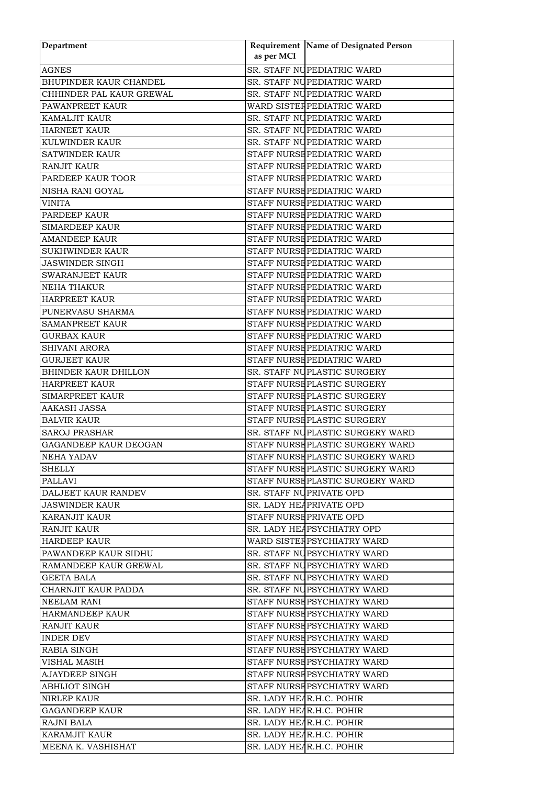| Department                  |            | Requirement Name of Designated Person |
|-----------------------------|------------|---------------------------------------|
|                             | as per MCI |                                       |
| <b>AGNES</b>                |            | SR. STAFF NUPEDIATRIC WARD            |
| BHUPINDER KAUR CHANDEL      |            | SR. STAFF NUPEDIATRIC WARD            |
| CHHINDER PAL KAUR GREWAL    |            | SR. STAFF NUPEDIATRIC WARD            |
| PAWANPREET KAUR             |            | WARD SISTER PEDIATRIC WARD            |
| <b>KAMALJIT KAUR</b>        |            | SR. STAFF NUPEDIATRIC WARD            |
| <b>HARNEET KAUR</b>         |            | SR. STAFF NUPEDIATRIC WARD            |
| <b>KULWINDER KAUR</b>       |            | SR. STAFF NUPEDIATRIC WARD            |
| <b>SATWINDER KAUR</b>       |            | STAFF NURSE PEDIATRIC WARD            |
| <b>RANJIT KAUR</b>          |            | STAFF NURSE PEDIATRIC WARD            |
| PARDEEP KAUR TOOR           |            | STAFF NURSE PEDIATRIC WARD            |
| NISHA RANI GOYAL            |            | STAFF NURSE PEDIATRIC WARD            |
| VINITA                      |            | STAFF NURSE PEDIATRIC WARD            |
| PARDEEP KAUR                |            | STAFF NURSE PEDIATRIC WARD            |
| <b>SIMARDEEP KAUR</b>       |            | STAFF NURSE PEDIATRIC WARD            |
| <b>AMANDEEP KAUR</b>        |            | STAFF NURSE PEDIATRIC WARD            |
| <b>SUKHWINDER KAUR</b>      |            | STAFF NURSE PEDIATRIC WARD            |
| <b>JASWINDER SINGH</b>      |            | STAFF NURSE PEDIATRIC WARD            |
| <b>SWARANJEET KAUR</b>      |            | STAFF NURSE PEDIATRIC WARD            |
| <b>NEHA THAKUR</b>          |            | STAFF NURSE PEDIATRIC WARD            |
| <b>HARPREET KAUR</b>        |            | STAFF NURSE PEDIATRIC WARD            |
|                             |            |                                       |
| PUNERVASU SHARMA            |            | STAFF NURSE PEDIATRIC WARD            |
| <b>SAMANPREET KAUR</b>      |            | STAFF NURSE PEDIATRIC WARD            |
| <b>GURBAX KAUR</b>          |            | STAFF NURSE PEDIATRIC WARD            |
| <b>SHIVANI ARORA</b>        |            | STAFF NURSE PEDIATRIC WARD            |
| <b>GURJEET KAUR</b>         |            | STAFF NURSE PEDIATRIC WARD            |
| <b>BHINDER KAUR DHILLON</b> |            | SR. STAFF NUPLASTIC SURGERY           |
| <b>HARPREET KAUR</b>        |            | STAFF NURSE PLASTIC SURGERY           |
| <b>SIMARPREET KAUR</b>      |            | STAFF NURSE PLASTIC SURGERY           |
| <b>AAKASH JASSA</b>         |            | STAFF NURSE PLASTIC SURGERY           |
| <b>BALVIR KAUR</b>          |            | STAFF NURSE PLASTIC SURGERY           |
| <b>SAROJ PRASHAR</b>        |            | SR. STAFF NUPLASTIC SURGERY WARD      |
| GAGANDEEP KAUR DEOGAN       |            | STAFF NURSE PLASTIC SURGERY WARD      |
| NEHA YADAV                  |            | STAFF NURSE PLASTIC SURGERY WARD      |
| SHELLY                      |            | STAFF NURSEPLASTIC SURGERY WARD       |
| PALLAVI                     |            | STAFF NURSEPLASTIC SURGERY WARD       |
| DALJEET KAUR RANDEV         |            | SR. STAFF NUPRIVATE OPD               |
| JASWINDER KAUR              |            | SR. LADY HEAPRIVATE OPD               |
| <b>KARANJIT KAUR</b>        |            | STAFF NURSE PRIVATE OPD               |
| <b>RANJIT KAUR</b>          |            | SR. LADY HEAPSYCHIATRY OPD            |
| <b>HARDEEP KAUR</b>         |            | WARD SISTER PSYCHIATRY WARD           |
| PAWANDEEP KAUR SIDHU        |            | SR. STAFF NUPSYCHIATRY WARD           |
| RAMANDEEP KAUR GREWAL       |            | SR. STAFF NUPSYCHIATRY WARD           |
| GEETA BALA                  |            | SR. STAFF NUPSYCHIATRY WARD           |
| CHARNJIT KAUR PADDA         |            | SR. STAFF NUPSYCHIATRY WARD           |
| NEELAM RANI                 |            | STAFF NURSE PSYCHIATRY WARD           |
| <b>HARMANDEEP KAUR</b>      |            | STAFF NURSE PSYCHIATRY WARD           |
| RANJIT KAUR                 |            | STAFF NURSE PSYCHIATRY WARD           |
| INDER DEV                   |            | STAFF NURSEPSYCHIATRY WARD            |
| RABIA SINGH                 |            | STAFF NURSE PSYCHIATRY WARD           |
| VISHAL MASIH                |            | STAFF NURSE PSYCHIATRY WARD           |
| AJAYDEEP SINGH              |            | STAFF NURSE PSYCHIATRY WARD           |
|                             |            |                                       |
| <b>ABHIJOT SINGH</b>        |            | STAFF NURSE PSYCHIATRY WARD           |
| <b>NIRLEP KAUR</b>          |            | SR. LADY HEAR.H.C. POHIR              |
| <b>GAGANDEEP KAUR</b>       |            | SR. LADY HEAR.H.C. POHIR              |
| <b>RAJNI BALA</b>           |            | SR. LADY HEAR.H.C. POHIR              |
| <b>KARAMJIT KAUR</b>        |            | SR. LADY HEAR.H.C. POHIR              |
| MEENA K. VASHISHAT          |            | SR. LADY HEAR.H.C. POHIR              |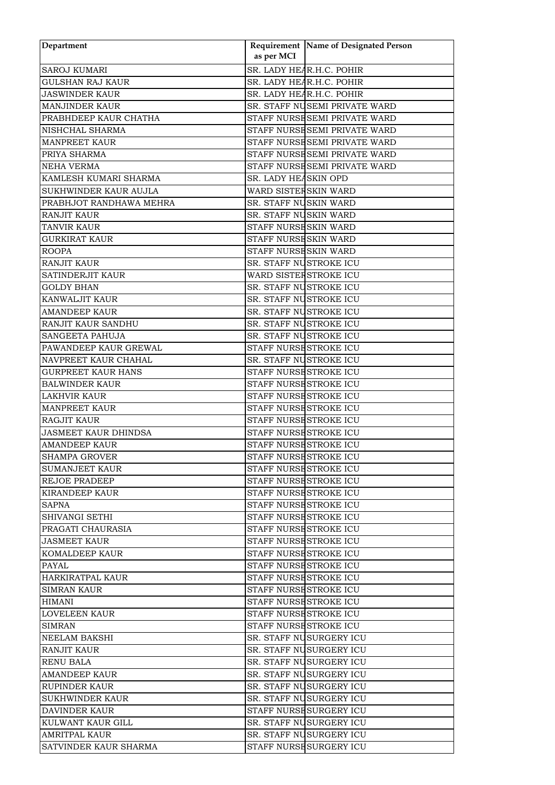| Department                  |                        | Requirement Name of Designated Person |
|-----------------------------|------------------------|---------------------------------------|
|                             | as per MCI             |                                       |
| <b>SAROJ KUMARI</b>         |                        | SR. LADY HEAR.H.C. POHIR              |
| <b>GULSHAN RAJ KAUR</b>     |                        | SR. LADY HEAR.H.C. POHIR              |
| <b>JASWINDER KAUR</b>       |                        | SR. LADY HEAR.H.C. POHIR              |
| <b>MANJINDER KAUR</b>       |                        | SR. STAFF NUSEMI PRIVATE WARD         |
| PRABHDEEP KAUR CHATHA       |                        | STAFF NURSE SEMI PRIVATE WARD         |
| NISHCHAL SHARMA             |                        | STAFF NURSE SEMI PRIVATE WARD         |
| <b>MANPREET KAUR</b>        |                        | STAFF NURSE SEMI PRIVATE WARD         |
| PRIYA SHARMA                |                        | STAFF NURSE SEMI PRIVATE WARD         |
| <b>NEHA VERMA</b>           |                        | STAFF NURSE SEMI PRIVATE WARD         |
| KAMLESH KUMARI SHARMA       | SR. LADY HEASKIN OPD   |                                       |
| SUKHWINDER KAUR AUJLA       | WARD SISTER SKIN WARD  |                                       |
| PRABHJOT RANDHAWA MEHRA     | SR. STAFF NUSKIN WARD  |                                       |
| <b>RANJIT KAUR</b>          | SR. STAFF NUSKIN WARD  |                                       |
| <b>TANVIR KAUR</b>          | STAFF NURSE SKIN WARD  |                                       |
| <b>GURKIRAT KAUR</b>        | STAFF NURSE SKIN WARD  |                                       |
| <b>ROOPA</b>                | STAFF NURSE SKIN WARD  |                                       |
| <b>RANJIT KAUR</b>          | SR. STAFF NUSTROKE ICU |                                       |
| SATINDERJIT KAUR            | WARD SISTER STROKE ICU |                                       |
| <b>GOLDY BHAN</b>           | SR. STAFF NUSTROKE ICU |                                       |
| <b>KANWALJIT KAUR</b>       | SR. STAFF NUSTROKE ICU |                                       |
| <b>AMANDEEP KAUR</b>        | SR. STAFF NUSTROKE ICU |                                       |
| <b>RANJIT KAUR SANDHU</b>   | SR. STAFF NUSTROKE ICU |                                       |
| <b>SANGEETA PAHUJA</b>      | SR. STAFF NUSTROKE ICU |                                       |
| PAWANDEEP KAUR GREWAL       | STAFF NURSE STROKE ICU |                                       |
| NAVPREET KAUR CHAHAL        | SR. STAFF NUSTROKE ICU |                                       |
| <b>GURPREET KAUR HANS</b>   | STAFF NURSE STROKE ICU |                                       |
| <b>BALWINDER KAUR</b>       | STAFF NURSE STROKE ICU |                                       |
| <b>LAKHVIR KAUR</b>         | STAFF NURSE STROKE ICU |                                       |
| <b>MANPREET KAUR</b>        | STAFF NURSE STROKE ICU |                                       |
| <b>RAGJIT KAUR</b>          | STAFF NURSE STROKE ICU |                                       |
| <b>JASMEET KAUR DHINDSA</b> | STAFF NURSE STROKE ICU |                                       |
| <b>AMANDEEP KAUR</b>        | STAFF NURSE STROKE ICU |                                       |
| <b>SHAMPA GROVER</b>        | STAFF NURSE STROKE ICU |                                       |
| SUMANJEET KAUR              | STAFF NURSE STROKE ICU |                                       |
| <b>REJOE PRADEEP</b>        | STAFF NURSE STROKE ICU |                                       |
| KIRANDEEP KAUR              | STAFF NURSE STROKE ICU |                                       |
| SAPNA                       | STAFF NURSE STROKE ICU |                                       |
| <b>SHIVANGI SETHI</b>       | STAFF NURSE STROKE ICU |                                       |
| PRAGATI CHAURASIA           | STAFF NURSE STROKE ICU |                                       |
| <b>JASMEET KAUR</b>         | STAFF NURSE STROKE ICU |                                       |
| <b>KOMALDEEP KAUR</b>       | STAFF NURSE STROKE ICU |                                       |
| PAYAL                       | STAFF NURSE STROKE ICU |                                       |
| HARKIRATPAL KAUR            | STAFF NURSE STROKE ICU |                                       |
| <b>SIMRAN KAUR</b>          | STAFF NURSE STROKE ICU |                                       |
| <b>HIMANI</b>               | STAFF NURSE STROKE ICU |                                       |
| <b>LOVELEEN KAUR</b>        | STAFF NURSE STROKE ICU |                                       |
| <b>SIMRAN</b>               | STAFF NURSE STROKE ICU |                                       |
| NEELAM BAKSHI               |                        | SR. STAFF NUSURGERY ICU               |
| <b>RANJIT KAUR</b>          |                        | SR. STAFF NUSURGERY ICU               |
| <b>RENU BALA</b>            |                        | SR. STAFF NUSURGERY ICU               |
| <b>AMANDEEP KAUR</b>        |                        | SR. STAFF NUSURGERY ICU               |
| <b>RUPINDER KAUR</b>        |                        | SR. STAFF NUSURGERY ICU               |
| <b>SUKHWINDER KAUR</b>      |                        | SR. STAFF NUSURGERY ICU               |
| <b>DAVINDER KAUR</b>        |                        | STAFF NURSE SURGERY ICU               |
| KULWANT KAUR GILL           |                        | SR. STAFF NUSURGERY ICU               |
| <b>AMRITPAL KAUR</b>        |                        | SR. STAFF NUSURGERY ICU               |
| SATVINDER KAUR SHARMA       |                        | STAFF NURSE SURGERY ICU               |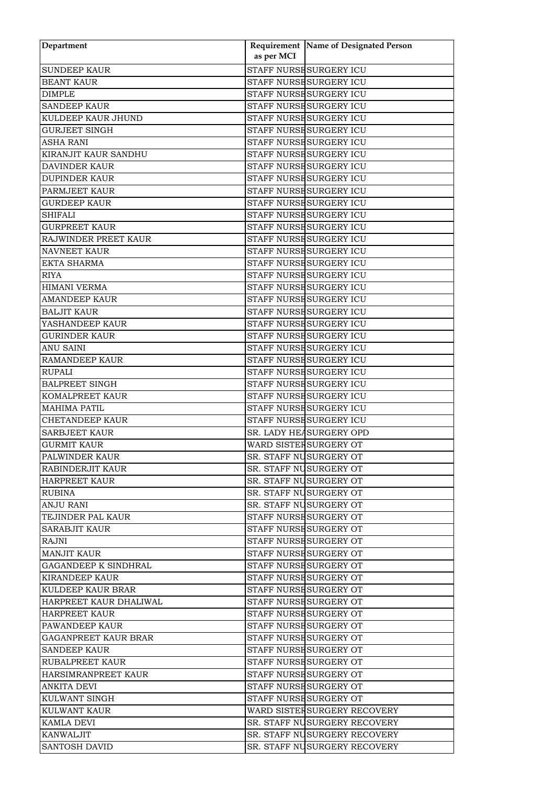| Department                  |            | Requirement Name of Designated Person |
|-----------------------------|------------|---------------------------------------|
|                             | as per MCI |                                       |
| <b>SUNDEEP KAUR</b>         |            | STAFF NURSE SURGERY ICU               |
| <b>BEANT KAUR</b>           |            | STAFF NURSE SURGERY ICU               |
| <b>DIMPLE</b>               |            | STAFF NURSE SURGERY ICU               |
| <b>SANDEEP KAUR</b>         |            | STAFF NURSE SURGERY ICU               |
| KULDEEP KAUR JHUND          |            | STAFF NURSE SURGERY ICU               |
| GURJEET SINGH               |            | STAFF NURSE SURGERY ICU               |
| <b>ASHA RANI</b>            |            | STAFF NURSE SURGERY ICU               |
| <b>KIRANJIT KAUR SANDHU</b> |            | STAFF NURSE SURGERY ICU               |
| <b>DAVINDER KAUR</b>        |            | STAFF NURSE SURGERY ICU               |
| <b>DUPINDER KAUR</b>        |            | STAFF NURSE SURGERY ICU               |
|                             |            |                                       |
| PARMJEET KAUR               |            | STAFF NURSE SURGERY ICU               |
| <b>GURDEEP KAUR</b>         |            | STAFF NURSE SURGERY ICU               |
| <b>SHIFALI</b>              |            | STAFF NURSE SURGERY ICU               |
| <b>GURPREET KAUR</b>        |            | STAFF NURSE SURGERY ICU               |
| RAJWINDER PREET KAUR        |            | STAFF NURSE SURGERY ICU               |
| <b>NAVNEET KAUR</b>         |            | STAFF NURSE SURGERY ICU               |
| <b>EKTA SHARMA</b>          |            | STAFF NURSE SURGERY ICU               |
| <b>RIYA</b>                 |            | STAFF NURSE SURGERY ICU               |
| <b>HIMANI VERMA</b>         |            | STAFF NURSE SURGERY ICU               |
| <b>AMANDEEP KAUR</b>        |            | STAFF NURSE SURGERY ICU               |
| <b>BALJIT KAUR</b>          |            | STAFF NURSE SURGERY ICU               |
| YASHANDEEP KAUR             |            | STAFF NURSE SURGERY ICU               |
| <b>GURINDER KAUR</b>        |            | STAFF NURSE SURGERY ICU               |
| <b>ANU SAINI</b>            |            | STAFF NURSE SURGERY ICU               |
| <b>RAMANDEEP KAUR</b>       |            | STAFF NURSE SURGERY ICU               |
| <b>RUPALI</b>               |            | STAFF NURSE SURGERY ICU               |
| <b>BALPREET SINGH</b>       |            | STAFF NURSE SURGERY ICU               |
| KOMALPREET KAUR             |            | STAFF NURSE SURGERY ICU               |
| <b>MAHIMA PATIL</b>         |            | STAFF NURSE SURGERY ICU               |
| <b>CHETANDEEP KAUR</b>      |            | STAFF NURSE SURGERY ICU               |
| <b>SARBJEET KAUR</b>        |            | SR. LADY HEASURGERY OPD               |
| <b>GURMIT KAUR</b>          |            | WARD SISTER SURGERY OT                |
| PALWINDER KAUR              |            | SR. STAFF NUSURGERY OT                |
| RABINDERJIT KAUR            |            | SR. STAFF NUSURGERY OT                |
| <b>HARPREET KAUR</b>        |            | SR. STAFF NUSURGERY OT                |
| RUBINA                      |            | SR. STAFF NUSURGERY OT                |
| ANJU RANI                   |            | SR. STAFF NUSURGERY OT                |
| TEJINDER PAL KAUR           |            | STAFF NURSE SURGERY OT                |
| <b>SARABJIT KAUR</b>        |            | STAFF NURSE SURGERY OT                |
| RAJNI                       |            | STAFF NURSE SURGERY OT                |
| <b>MANJIT KAUR</b>          |            | STAFF NURSE SURGERY OT                |
| <b>GAGANDEEP K SINDHRAL</b> |            | STAFF NURSE SURGERY OT                |
| KIRANDEEP KAUR              |            | STAFF NURSE SURGERY OT                |
| KULDEEP KAUR BRAR           |            | STAFF NURSE SURGERY OT                |
| HARPREET KAUR DHALIWAL      |            | STAFF NURSE SURGERY OT                |
| <b>HARPREET KAUR</b>        |            | STAFF NURSE SURGERY OT                |
| PAWANDEEP KAUR              |            | STAFF NURSE SURGERY OT                |
| <b>GAGANPREET KAUR BRAR</b> |            | STAFF NURSE SURGERY OT                |
| <b>SANDEEP KAUR</b>         |            | STAFF NURSE SURGERY OT                |
|                             |            |                                       |
| RUBALPREET KAUR             |            | STAFF NURSE SURGERY OT                |
| HARSIMRANPREET KAUR         |            | STAFF NURSE SURGERY OT                |
| <b>ANKITA DEVI</b>          |            | STAFF NURSE SURGERY OT                |
| KULWANT SINGH               |            | STAFF NURSE SURGERY OT                |
| <b>KULWANT KAUR</b>         |            | WARD SISTER SURGERY RECOVERY          |
| KAMLA DEVI                  |            | SR. STAFF NUSURGERY RECOVERY          |
| <b>KANWALJIT</b>            |            | <b>SR. STAFF NUSURGERY RECOVERY</b>   |
| <b>SANTOSH DAVID</b>        |            | SR. STAFF NUSURGERY RECOVERY          |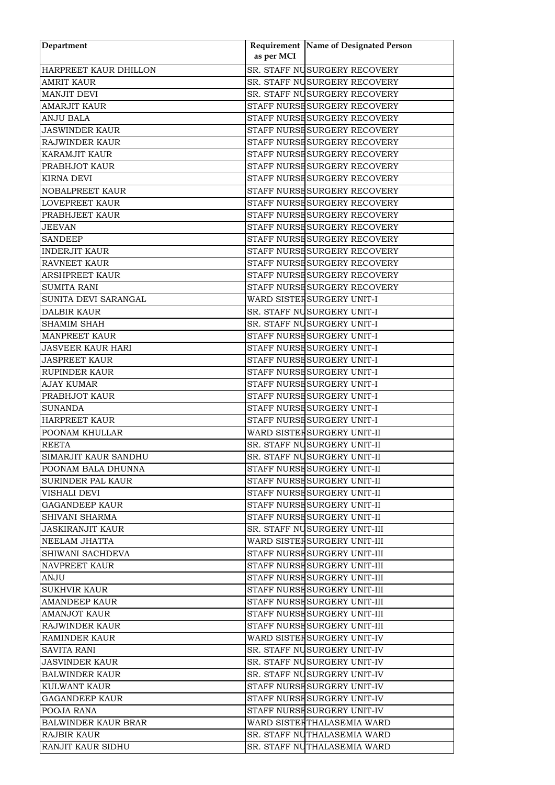| Department                           |            | Requirement Name of Designated Person                      |
|--------------------------------------|------------|------------------------------------------------------------|
|                                      | as per MCI |                                                            |
| HARPREET KAUR DHILLON                |            | SR. STAFF NUSURGERY RECOVERY                               |
| <b>AMRIT KAUR</b>                    |            | SR. STAFF NUSURGERY RECOVERY                               |
| <b>MANJIT DEVI</b>                   |            | SR. STAFF NUSURGERY RECOVERY                               |
| <b>AMARJIT KAUR</b>                  |            | STAFF NURSE SURGERY RECOVERY                               |
| <b>ANJU BALA</b>                     |            | STAFF NURSE SURGERY RECOVERY                               |
| <b>JASWINDER KAUR</b>                |            | STAFF NURSE SURGERY RECOVERY                               |
| RAJWINDER KAUR                       |            | STAFF NURSE SURGERY RECOVERY                               |
| KARAMJIT KAUR                        |            | STAFF NURSE SURGERY RECOVERY                               |
| PRABHJOT KAUR                        |            | STAFF NURSE SURGERY RECOVERY                               |
| <b>KIRNA DEVI</b>                    |            | STAFF NURSE SURGERY RECOVERY                               |
| NOBALPREET KAUR                      |            | STAFF NURSE SURGERY RECOVERY                               |
| LOVEPREET KAUR                       |            | STAFF NURSE SURGERY RECOVERY                               |
| PRABHJEET KAUR                       |            | STAFF NURSE SURGERY RECOVERY                               |
| <b>JEEVAN</b>                        |            | STAFF NURSE SURGERY RECOVERY                               |
| <b>SANDEEP</b>                       |            | STAFF NURSE SURGERY RECOVERY                               |
| <b>INDERJIT KAUR</b>                 |            | STAFF NURSE SURGERY RECOVERY                               |
| RAVNEET KAUR                         |            | STAFF NURSE SURGERY RECOVERY                               |
| ARSHPREET KAUR                       |            | STAFF NURSE SURGERY RECOVERY                               |
| <b>SUMITA RANI</b>                   |            | STAFF NURSE SURGERY RECOVERY                               |
| SUNITA DEVI SARANGAL                 |            | WARD SISTER SURGERY UNIT-I                                 |
| <b>DALBIR KAUR</b>                   |            | SR. STAFF NUSURGERY UNIT-I                                 |
| <b>SHAMIM SHAH</b>                   |            | SR. STAFF NUSURGERY UNIT-I                                 |
| <b>MANPREET KAUR</b>                 |            | STAFF NURSE SURGERY UNIT-I                                 |
| <b>JASVEER KAUR HARI</b>             |            | STAFF NURSE SURGERY UNIT-I                                 |
| <b>JASPREET KAUR</b>                 |            | STAFF NURSE SURGERY UNIT-I                                 |
| <b>RUPINDER KAUR</b>                 |            | STAFF NURSE SURGERY UNIT-I                                 |
| <b>AJAY KUMAR</b>                    |            | STAFF NURSE SURGERY UNIT-I                                 |
| PRABHJOT KAUR                        |            | STAFF NURSE SURGERY UNIT-I                                 |
| <b>SUNANDA</b>                       |            | STAFF NURSE SURGERY UNIT-I                                 |
| <b>HARPREET KAUR</b>                 |            | STAFF NURSE SURGERY UNIT-I                                 |
| POONAM KHULLAR                       |            | WARD SISTER SURGERY UNIT-II                                |
| <b>REETA</b>                         |            | SR. STAFF NUSURGERY UNIT-II                                |
| SIMARJIT KAUR SANDHU                 |            | SR. STAFF NUSURGERY UNIT-II                                |
| POONAM BALA DHUNNA                   |            | STAFF NURSE SURGERY UNIT-II                                |
| <b>SURINDER PAL KAUR</b>             |            | STAFF NURSE SURGERY UNIT-II                                |
| VISHALI DEVI                         |            | STAFF NURSE SURGERY UNIT-II                                |
| <b>GAGANDEEP KAUR</b>                |            | STAFF NURSE SURGERY UNIT-II                                |
| SHIVANI SHARMA                       |            | STAFF NURSE SURGERY UNIT-II                                |
| <b>JASKIRANJIT KAUR</b>              |            | SR. STAFF NUSURGERY UNIT-III                               |
| NEELAM JHATTA                        |            | WARD SISTER SURGERY UNIT-III                               |
| SHIWANI SACHDEVA                     |            | STAFF NURSE SURGERY UNIT-III                               |
| <b>NAVPREET KAUR</b>                 |            | STAFF NURSE SURGERY UNIT-III                               |
| ANJU                                 |            | STAFF NURSE SURGERY UNIT-III                               |
| <b>SUKHVIR KAUR</b>                  |            | STAFF NURSE SURGERY UNIT-III                               |
| AMANDEEP KAUR                        |            | STAFF NURSE SURGERY UNIT-III                               |
| <b>AMANJOT KAUR</b>                  |            | STAFF NURSE SURGERY UNIT-III                               |
| RAJWINDER KAUR                       |            | STAFF NURSE SURGERY UNIT-III                               |
| <b>RAMINDER KAUR</b>                 |            | WARD SISTER SURGERY UNIT-IV                                |
|                                      |            |                                                            |
| SAVITA RANI<br><b>JASVINDER KAUR</b> |            | SR. STAFF NUSURGERY UNIT-IV<br>SR. STAFF NUSURGERY UNIT-IV |
|                                      |            | SR. STAFF NUSURGERY UNIT-IV                                |
| <b>BALWINDER KAUR</b>                |            |                                                            |
| KULWANT KAUR                         |            | STAFF NURSE SURGERY UNIT-IV                                |
| <b>GAGANDEEP KAUR</b>                |            | STAFF NURSE SURGERY UNIT-IV                                |
| POOJA RANA                           |            | STAFF NURSE SURGERY UNIT-IV                                |
| BALWINDER KAUR BRAR                  |            | WARD SISTEFTHALASEMIA WARD                                 |
| <b>RAJBIR KAUR</b>                   |            | SR. STAFF NUTHALASEMIA WARD                                |
| RANJIT KAUR SIDHU                    |            | SR. STAFF NUTHALASEMIA WARD                                |